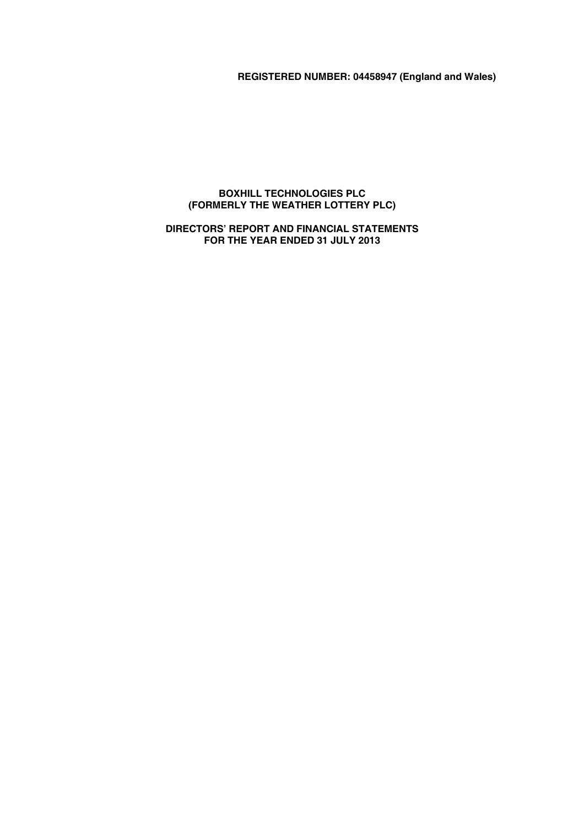# **REGISTERED NUMBER: 04458947 (England and Wales)**

# **BOXHILL TECHNOLOGIES PLC (FORMERLY THE WEATHER LOTTERY PLC)**

# **DIRECTORS' REPORT AND FINANCIAL STATEMENTS FOR THE YEAR ENDED 31 JULY 2013**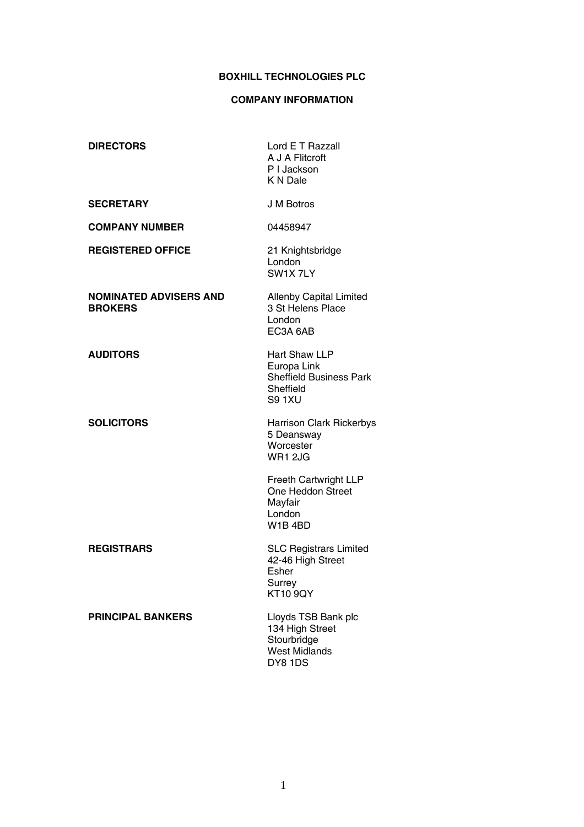# **COMPANY INFORMATION**

| <b>DIRECTORS</b>                                | Lord E T Razzall<br>A J A Flitcroft<br>P I Jackson<br>K N Dale                               |
|-------------------------------------------------|----------------------------------------------------------------------------------------------|
| <b>SECRETARY</b>                                | J M Botros                                                                                   |
| <b>COMPANY NUMBER</b>                           | 04458947                                                                                     |
| <b>REGISTERED OFFICE</b>                        | 21 Knightsbridge<br>London<br>SW1X 7LY                                                       |
| <b>NOMINATED ADVISERS AND</b><br><b>BROKERS</b> | <b>Allenby Capital Limited</b><br>3 St Helens Place<br>London<br>EC3A 6AB                    |
| <b>AUDITORS</b>                                 | Hart Shaw LLP<br>Europa Link<br><b>Sheffield Business Park</b><br>Sheffield<br><b>S9 1XU</b> |
| <b>SOLICITORS</b>                               | <b>Harrison Clark Rickerbys</b><br>5 Deansway<br>Worcester<br>WR1 2JG                        |
|                                                 | <b>Freeth Cartwright LLP</b><br>One Heddon Street<br>Mayfair<br>London<br>W1B4BD             |
| <b>REGISTRARS</b>                               | <b>SLC Registrars Limited</b><br>42-46 High Street<br>Esher<br>Surrey<br><b>KT10 9QY</b>     |
| <b>PRINCIPAL BANKERS</b>                        | Lloyds TSB Bank plc<br>134 High Street<br>Stourbridge<br><b>West Midlands</b><br>DY8 1DS     |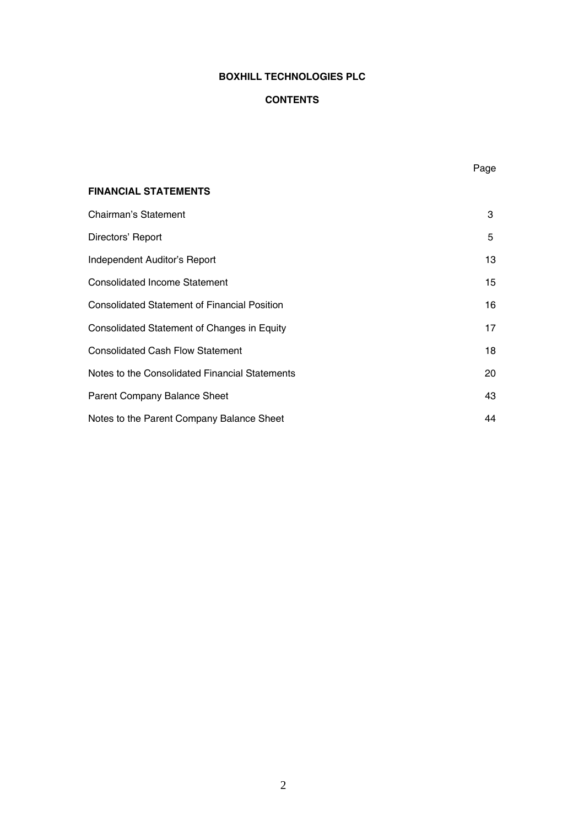# **CONTENTS**

Page

| <b>FINANCIAL STATEMENTS</b>                         |    |
|-----------------------------------------------------|----|
| Chairman's Statement                                | 3  |
| Directors' Report                                   | 5  |
| Independent Auditor's Report                        | 13 |
| <b>Consolidated Income Statement</b>                | 15 |
| <b>Consolidated Statement of Financial Position</b> | 16 |
| Consolidated Statement of Changes in Equity         | 17 |
| <b>Consolidated Cash Flow Statement</b>             | 18 |
| Notes to the Consolidated Financial Statements      | 20 |
| <b>Parent Company Balance Sheet</b>                 | 43 |
| Notes to the Parent Company Balance Sheet           | 44 |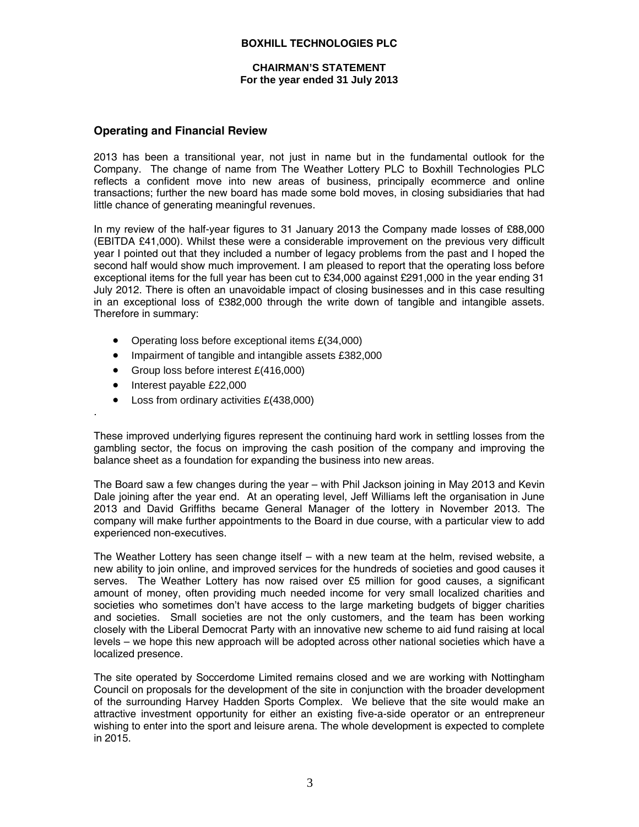### **CHAIRMAN'S STATEMENT For the year ended 31 July 2013**

# **Operating and Financial Review**

2013 has been a transitional year, not just in name but in the fundamental outlook for the Company. The change of name from The Weather Lottery PLC to Boxhill Technologies PLC reflects a confident move into new areas of business, principally ecommerce and online transactions; further the new board has made some bold moves, in closing subsidiaries that had little chance of generating meaningful revenues.

In my review of the half-year figures to 31 January 2013 the Company made losses of £88,000 (EBITDA £41,000). Whilst these were a considerable improvement on the previous very difficult year I pointed out that they included a number of legacy problems from the past and I hoped the second half would show much improvement. I am pleased to report that the operating loss before exceptional items for the full year has been cut to £34,000 against £291,000 in the year ending 31 July 2012. There is often an unavoidable impact of closing businesses and in this case resulting in an exceptional loss of £382,000 through the write down of tangible and intangible assets. Therefore in summary:

- Operating loss before exceptional items £(34,000)
- Impairment of tangible and intangible assets £382,000
- Group loss before interest £(416,000)
- Interest payable £22,000

.

Loss from ordinary activities £(438,000)

These improved underlying figures represent the continuing hard work in settling losses from the gambling sector, the focus on improving the cash position of the company and improving the balance sheet as a foundation for expanding the business into new areas.

The Board saw a few changes during the year – with Phil Jackson joining in May 2013 and Kevin Dale joining after the year end. At an operating level, Jeff Williams left the organisation in June 2013 and David Griffiths became General Manager of the lottery in November 2013. The company will make further appointments to the Board in due course, with a particular view to add experienced non-executives.

The Weather Lottery has seen change itself – with a new team at the helm, revised website, a new ability to join online, and improved services for the hundreds of societies and good causes it serves. The Weather Lottery has now raised over £5 million for good causes, a significant amount of money, often providing much needed income for very small localized charities and societies who sometimes don't have access to the large marketing budgets of bigger charities and societies. Small societies are not the only customers, and the team has been working closely with the Liberal Democrat Party with an innovative new scheme to aid fund raising at local levels – we hope this new approach will be adopted across other national societies which have a localized presence.

The site operated by Soccerdome Limited remains closed and we are working with Nottingham Council on proposals for the development of the site in conjunction with the broader development of the surrounding Harvey Hadden Sports Complex. We believe that the site would make an attractive investment opportunity for either an existing five-a-side operator or an entrepreneur wishing to enter into the sport and leisure arena. The whole development is expected to complete in 2015.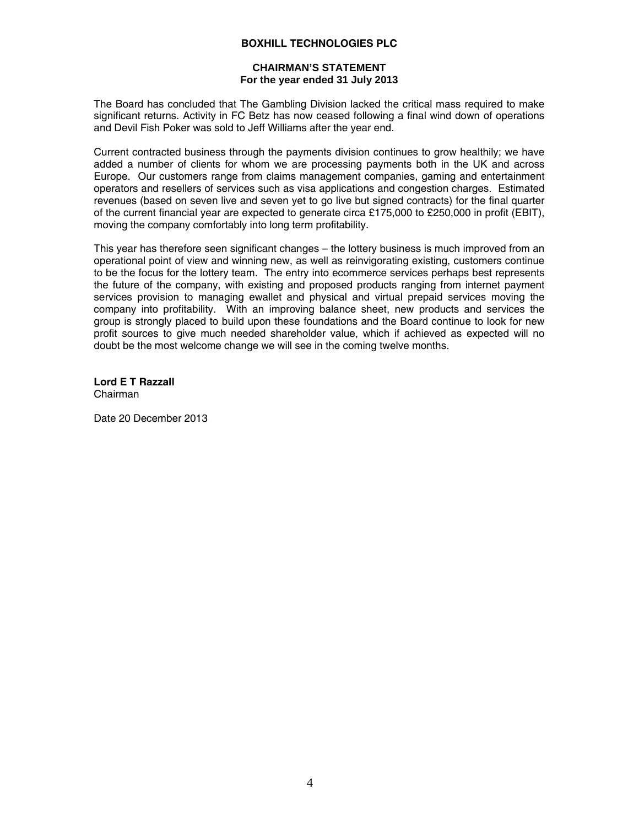### **CHAIRMAN'S STATEMENT For the year ended 31 July 2013**

The Board has concluded that The Gambling Division lacked the critical mass required to make significant returns. Activity in FC Betz has now ceased following a final wind down of operations and Devil Fish Poker was sold to Jeff Williams after the year end.

Current contracted business through the payments division continues to grow healthily; we have added a number of clients for whom we are processing payments both in the UK and across Europe. Our customers range from claims management companies, gaming and entertainment operators and resellers of services such as visa applications and congestion charges. Estimated revenues (based on seven live and seven yet to go live but signed contracts) for the final quarter of the current financial year are expected to generate circa £175,000 to £250,000 in profit (EBIT), moving the company comfortably into long term profitability.

This year has therefore seen significant changes – the lottery business is much improved from an operational point of view and winning new, as well as reinvigorating existing, customers continue to be the focus for the lottery team. The entry into ecommerce services perhaps best represents the future of the company, with existing and proposed products ranging from internet payment services provision to managing ewallet and physical and virtual prepaid services moving the company into profitability. With an improving balance sheet, new products and services the group is strongly placed to build upon these foundations and the Board continue to look for new profit sources to give much needed shareholder value, which if achieved as expected will no doubt be the most welcome change we will see in the coming twelve months.

**Lord E T Razzall**  Chairman

Date 20 December 2013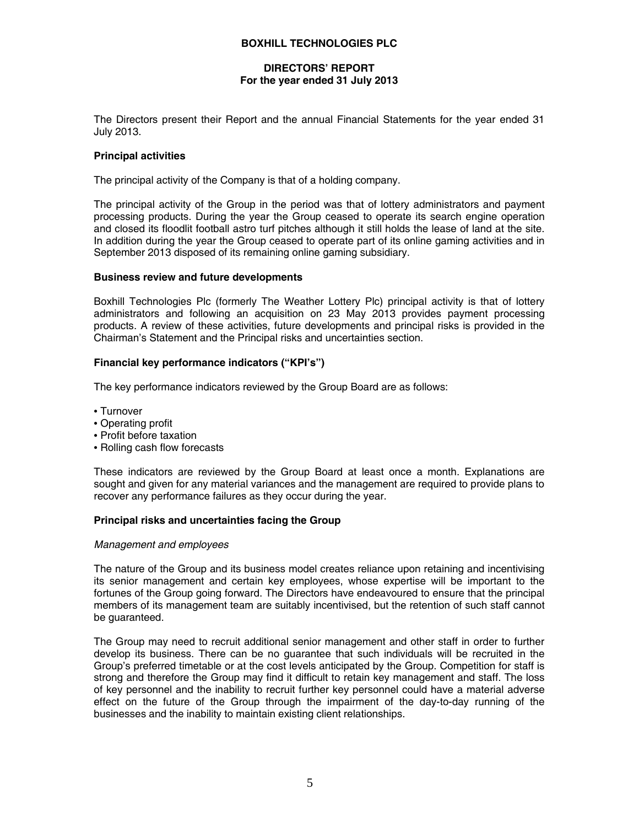### **DIRECTORS' REPORT For the year ended 31 July 2013**

The Directors present their Report and the annual Financial Statements for the year ended 31 July 2013.

#### **Principal activities**

The principal activity of the Company is that of a holding company.

The principal activity of the Group in the period was that of lottery administrators and payment processing products. During the year the Group ceased to operate its search engine operation and closed its floodlit football astro turf pitches although it still holds the lease of land at the site. In addition during the year the Group ceased to operate part of its online gaming activities and in September 2013 disposed of its remaining online gaming subsidiary.

#### **Business review and future developments**

Boxhill Technologies Plc (formerly The Weather Lottery Plc) principal activity is that of lottery administrators and following an acquisition on 23 May 2013 provides payment processing products. A review of these activities, future developments and principal risks is provided in the Chairman's Statement and the Principal risks and uncertainties section.

### **Financial key performance indicators ("KPI's")**

The key performance indicators reviewed by the Group Board are as follows:

- Turnover
- Operating profit
- Profit before taxation
- Rolling cash flow forecasts

These indicators are reviewed by the Group Board at least once a month. Explanations are sought and given for any material variances and the management are required to provide plans to recover any performance failures as they occur during the year.

### **Principal risks and uncertainties facing the Group**

#### *Management and employees*

The nature of the Group and its business model creates reliance upon retaining and incentivising its senior management and certain key employees, whose expertise will be important to the fortunes of the Group going forward. The Directors have endeavoured to ensure that the principal members of its management team are suitably incentivised, but the retention of such staff cannot be guaranteed.

The Group may need to recruit additional senior management and other staff in order to further develop its business. There can be no guarantee that such individuals will be recruited in the Group's preferred timetable or at the cost levels anticipated by the Group. Competition for staff is strong and therefore the Group may find it difficult to retain key management and staff. The loss of key personnel and the inability to recruit further key personnel could have a material adverse effect on the future of the Group through the impairment of the day-to-day running of the businesses and the inability to maintain existing client relationships.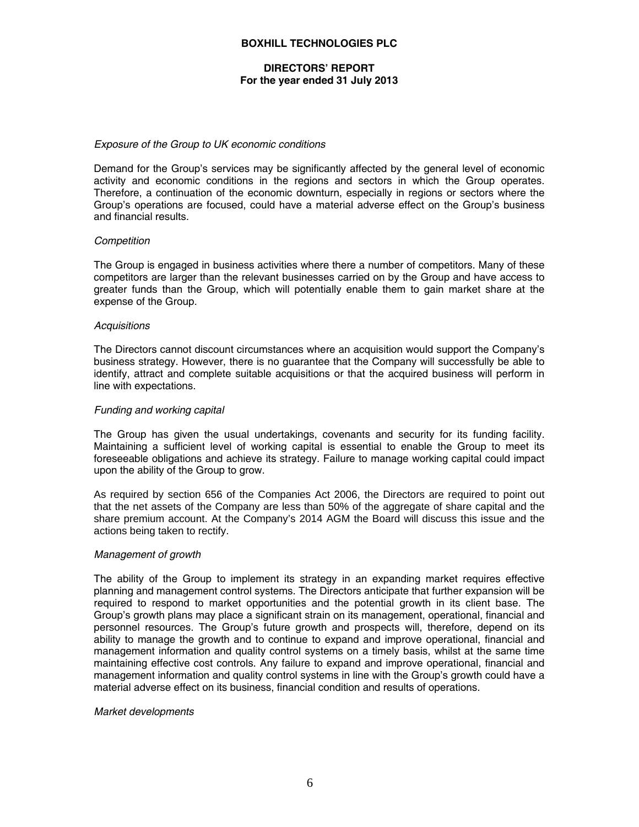### **DIRECTORS' REPORT For the year ended 31 July 2013**

#### *Exposure of the Group to UK economic conditions*

Demand for the Group's services may be significantly affected by the general level of economic activity and economic conditions in the regions and sectors in which the Group operates. Therefore, a continuation of the economic downturn, especially in regions or sectors where the Group's operations are focused, could have a material adverse effect on the Group's business and financial results.

#### *Competition*

The Group is engaged in business activities where there a number of competitors. Many of these competitors are larger than the relevant businesses carried on by the Group and have access to greater funds than the Group, which will potentially enable them to gain market share at the expense of the Group.

#### *Acquisitions*

The Directors cannot discount circumstances where an acquisition would support the Company's business strategy. However, there is no guarantee that the Company will successfully be able to identify, attract and complete suitable acquisitions or that the acquired business will perform in line with expectations.

#### *Funding and working capital*

The Group has given the usual undertakings, covenants and security for its funding facility. Maintaining a sufficient level of working capital is essential to enable the Group to meet its foreseeable obligations and achieve its strategy. Failure to manage working capital could impact upon the ability of the Group to grow.

As required by section 656 of the Companies Act 2006, the Directors are required to point out that the net assets of the Company are less than 50% of the aggregate of share capital and the share premium account. At the Company's 2014 AGM the Board will discuss this issue and the actions being taken to rectify.

### *Management of growth*

The ability of the Group to implement its strategy in an expanding market requires effective planning and management control systems. The Directors anticipate that further expansion will be required to respond to market opportunities and the potential growth in its client base. The Group's growth plans may place a significant strain on its management, operational, financial and personnel resources. The Group's future growth and prospects will, therefore, depend on its ability to manage the growth and to continue to expand and improve operational, financial and management information and quality control systems on a timely basis, whilst at the same time maintaining effective cost controls. Any failure to expand and improve operational, financial and management information and quality control systems in line with the Group's growth could have a material adverse effect on its business, financial condition and results of operations.

#### *Market developments*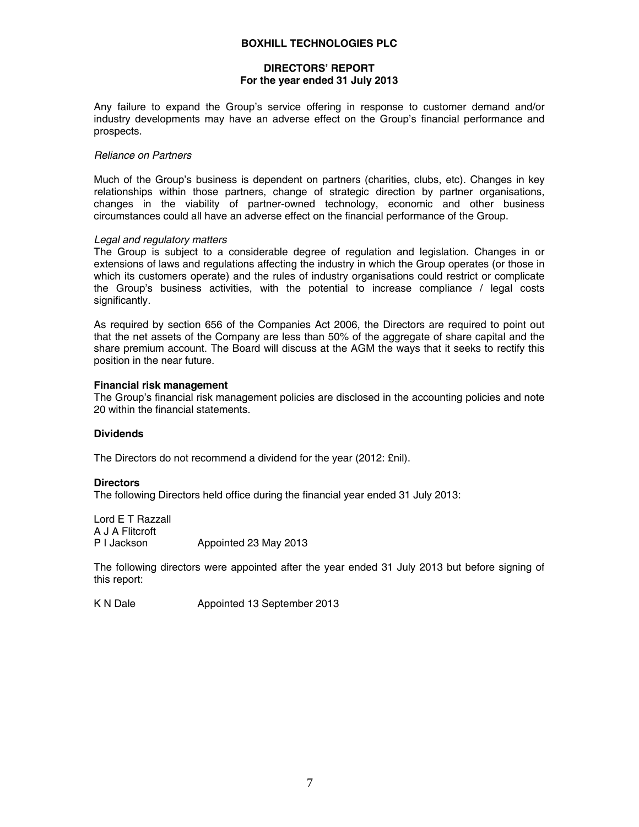# **DIRECTORS' REPORT For the year ended 31 July 2013**

Any failure to expand the Group's service offering in response to customer demand and/or industry developments may have an adverse effect on the Group's financial performance and prospects.

#### *Reliance on Partners*

Much of the Group's business is dependent on partners (charities, clubs, etc). Changes in key relationships within those partners, change of strategic direction by partner organisations, changes in the viability of partner-owned technology, economic and other business circumstances could all have an adverse effect on the financial performance of the Group.

#### *Legal and regulatory matters*

The Group is subject to a considerable degree of regulation and legislation. Changes in or extensions of laws and regulations affecting the industry in which the Group operates (or those in which its customers operate) and the rules of industry organisations could restrict or complicate the Group's business activities, with the potential to increase compliance / legal costs significantly.

As required by section 656 of the Companies Act 2006, the Directors are required to point out that the net assets of the Company are less than 50% of the aggregate of share capital and the share premium account. The Board will discuss at the AGM the ways that it seeks to rectify this position in the near future.

#### **Financial risk management**

The Group's financial risk management policies are disclosed in the accounting policies and note 20 within the financial statements.

### **Dividends**

The Directors do not recommend a dividend for the year (2012: £nil).

#### **Directors**

The following Directors held office during the financial year ended 31 July 2013:

Lord E T Razzall A J A Flitcroft P I Jackson Appointed 23 May 2013

The following directors were appointed after the year ended 31 July 2013 but before signing of this report:

K N Dale **Appointed 13 September 2013**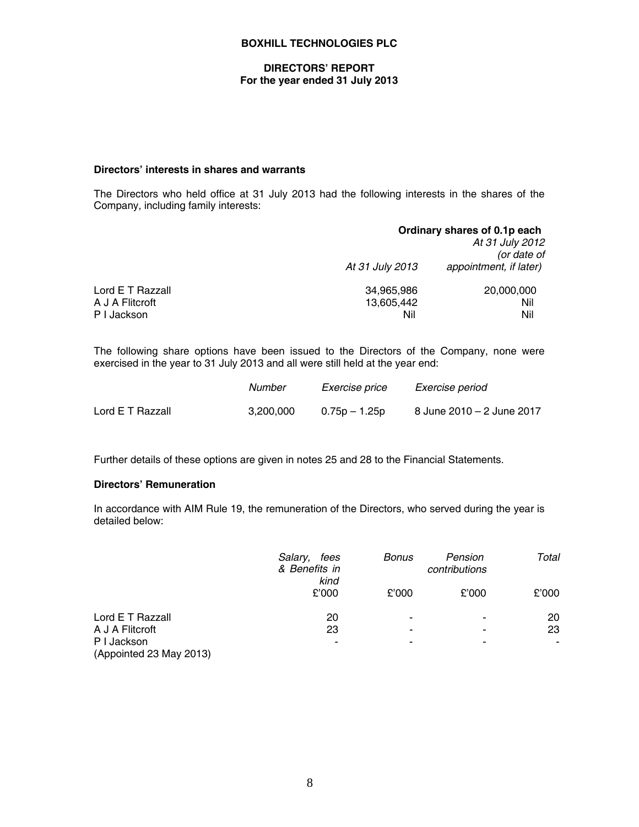### **DIRECTORS' REPORT For the year ended 31 July 2013**

### **Directors' interests in shares and warrants**

The Directors who held office at 31 July 2013 had the following interests in the shares of the Company, including family interests:

|                  |                 | Ordinary shares of 0.1p each<br>At 31 July 2012<br>(or date of |
|------------------|-----------------|----------------------------------------------------------------|
|                  | At 31 July 2013 | appointment, if later)                                         |
| Lord E T Razzall | 34,965,986      | 20,000,000                                                     |
| A J A Flitcroft  | 13,605,442      | Nil                                                            |
| P I Jackson      | Nil             | Nil                                                            |

The following share options have been issued to the Directors of the Company, none were exercised in the year to 31 July 2013 and all were still held at the year end:

|                  | Number    | <i>Exercise price</i> | Exercise period           |
|------------------|-----------|-----------------------|---------------------------|
| Lord E T Razzall | 3.200.000 | 0.75p – 1.25p         | 8 June 2010 – 2 June 2017 |

Further details of these options are given in notes 25 and 28 to the Financial Statements.

### **Directors' Remuneration**

In accordance with AIM Rule 19, the remuneration of the Directors, who served during the year is detailed below:

|                                        | Salary,<br>fees<br>& Benefits in<br>kind | Bonus          | Pension<br>contributions | Total |
|----------------------------------------|------------------------------------------|----------------|--------------------------|-------|
|                                        | £'000                                    | £'000          | £'000                    | £'000 |
| Lord E T Razzall                       | 20                                       | $\blacksquare$ | ۰                        | 20    |
| A J A Flitcroft                        | 23                                       | ۰              | ۰                        | 23    |
| P I Jackson<br>(Appointed 23 May 2013) | $\blacksquare$                           | ۰              | ۰                        |       |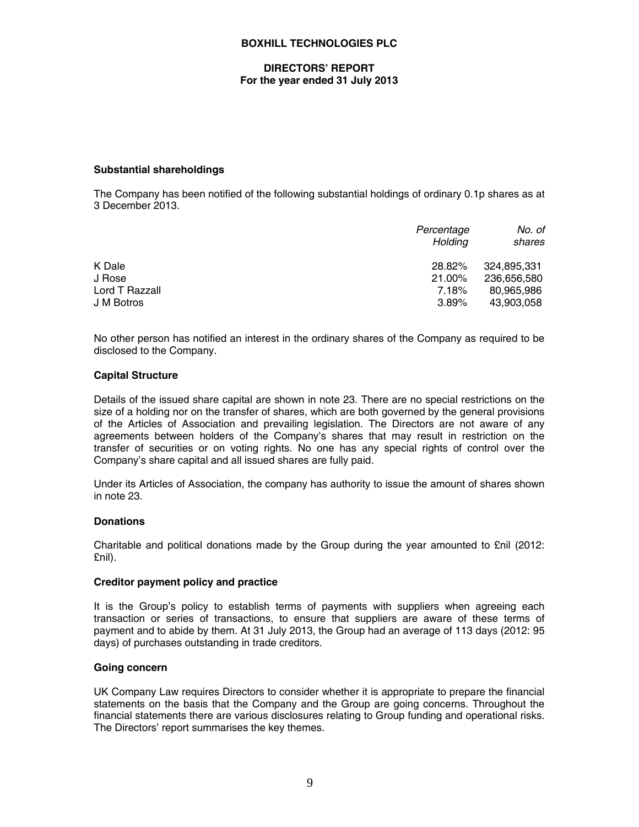#### **DIRECTORS' REPORT For the year ended 31 July 2013**

### **Substantial shareholdings**

The Company has been notified of the following substantial holdings of ordinary 0.1p shares as at 3 December 2013.

| Percentage<br>Holdina | No. of<br>shares |
|-----------------------|------------------|
| 28.82%                | 324.895.331      |
| 21.00%                | 236,656,580      |
| 7.18%                 | 80.965.986       |
| 3.89%                 | 43.903.058       |
|                       |                  |

No other person has notified an interest in the ordinary shares of the Company as required to be disclosed to the Company.

#### **Capital Structure**

Details of the issued share capital are shown in note 23. There are no special restrictions on the size of a holding nor on the transfer of shares, which are both governed by the general provisions of the Articles of Association and prevailing legislation. The Directors are not aware of any agreements between holders of the Company's shares that may result in restriction on the transfer of securities or on voting rights. No one has any special rights of control over the Company's share capital and all issued shares are fully paid.

Under its Articles of Association, the company has authority to issue the amount of shares shown in note 23.

#### **Donations**

Charitable and political donations made by the Group during the year amounted to £nil (2012: £nil).

### **Creditor payment policy and practice**

It is the Group's policy to establish terms of payments with suppliers when agreeing each transaction or series of transactions, to ensure that suppliers are aware of these terms of payment and to abide by them. At 31 July 2013, the Group had an average of 113 days (2012: 95 days) of purchases outstanding in trade creditors.

#### **Going concern**

UK Company Law requires Directors to consider whether it is appropriate to prepare the financial statements on the basis that the Company and the Group are going concerns. Throughout the financial statements there are various disclosures relating to Group funding and operational risks. The Directors' report summarises the key themes.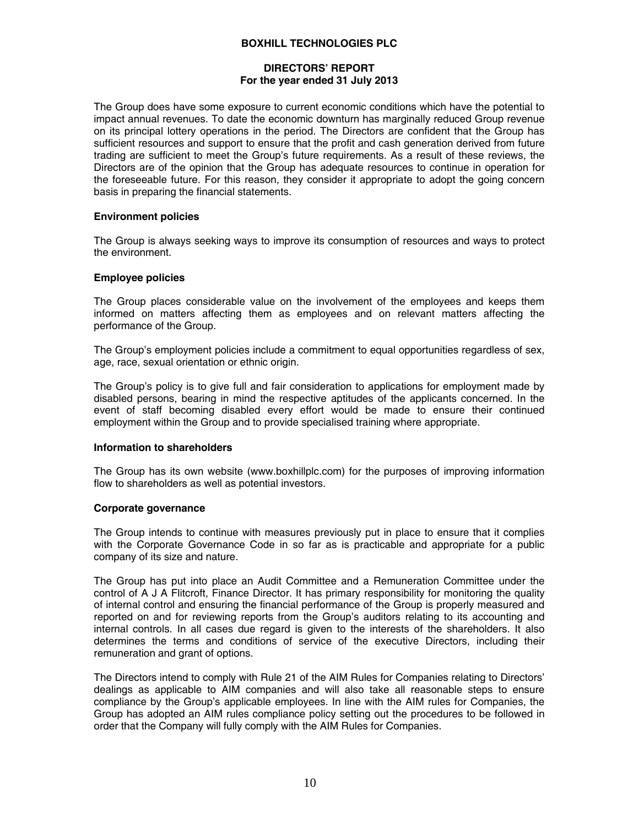# **DIRECTORS' REPORT For the year ended 31 July 2013**

The Group does have some exposure to current economic conditions which have the potential to impact annual revenues. To date the economic downturn has marginally reduced Group revenue on its principal lottery operations in the period. The Directors are confident that the Group has sufficient resources and support to ensure that the profit and cash generation derived from future trading are sufficient to meet the Group's future requirements. As a result of these reviews, the Directors are of the opinion that the Group has adequate resources to continue in operation for the foreseeable future. For this reason, they consider it appropriate to adopt the going concern basis in preparing the financial statements.

### **Environment policies**

The Group is always seeking ways to improve its consumption of resources and ways to protect the environment.

#### **Employee policies**

The Group places considerable value on the involvement of the employees and keeps them informed on matters affecting them as employees and on relevant matters affecting the performance of the Group.

The Group's employment policies include a commitment to equal opportunities regardless of sex, age, race, sexual orientation or ethnic origin.

The Group's policy is to give full and fair consideration to applications for employment made by disabled persons, bearing in mind the respective aptitudes of the applicants concerned. In the event of staff becoming disabled every effort would be made to ensure their continued employment within the Group and to provide specialised training where appropriate.

### **Information to shareholders**

The Group has its own website (www.boxhillplc.com) for the purposes of improving information flow to shareholders as well as potential investors.

#### **Corporate governance**

The Group intends to continue with measures previously put in place to ensure that it complies with the Corporate Governance Code in so far as is practicable and appropriate for a public company of its size and nature.

The Group has put into place an Audit Committee and a Remuneration Committee under the control of A J A Flitcroft, Finance Director. It has primary responsibility for monitoring the quality of internal control and ensuring the financial performance of the Group is properly measured and reported on and for reviewing reports from the Group's auditors relating to its accounting and internal controls. In all cases due regard is given to the interests of the shareholders. It also determines the terms and conditions of service of the executive Directors, including their remuneration and grant of options.

The Directors intend to comply with Rule 21 of the AIM Rules for Companies relating to Directors' dealings as applicable to AIM companies and will also take all reasonable steps to ensure compliance by the Group's applicable employees. In line with the AIM rules for Companies, the Group has adopted an AIM rules compliance policy setting out the procedures to be followed in order that the Company will fully comply with the AIM Rules for Companies.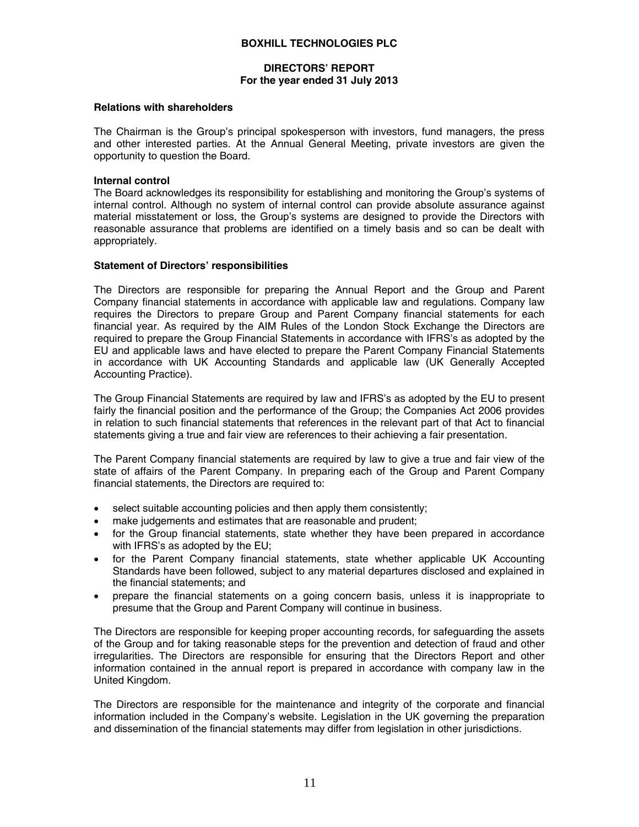### **DIRECTORS' REPORT For the year ended 31 July 2013**

#### **Relations with shareholders**

The Chairman is the Group's principal spokesperson with investors, fund managers, the press and other interested parties. At the Annual General Meeting, private investors are given the opportunity to question the Board.

#### **Internal control**

The Board acknowledges its responsibility for establishing and monitoring the Group's systems of internal control. Although no system of internal control can provide absolute assurance against material misstatement or loss, the Group's systems are designed to provide the Directors with reasonable assurance that problems are identified on a timely basis and so can be dealt with appropriately.

#### **Statement of Directors' responsibilities**

The Directors are responsible for preparing the Annual Report and the Group and Parent Company financial statements in accordance with applicable law and regulations. Company law requires the Directors to prepare Group and Parent Company financial statements for each financial year. As required by the AIM Rules of the London Stock Exchange the Directors are required to prepare the Group Financial Statements in accordance with IFRS's as adopted by the EU and applicable laws and have elected to prepare the Parent Company Financial Statements in accordance with UK Accounting Standards and applicable law (UK Generally Accepted Accounting Practice).

The Group Financial Statements are required by law and IFRS's as adopted by the EU to present fairly the financial position and the performance of the Group; the Companies Act 2006 provides in relation to such financial statements that references in the relevant part of that Act to financial statements giving a true and fair view are references to their achieving a fair presentation.

The Parent Company financial statements are required by law to give a true and fair view of the state of affairs of the Parent Company. In preparing each of the Group and Parent Company financial statements, the Directors are required to:

- select suitable accounting policies and then apply them consistently;
- make judgements and estimates that are reasonable and prudent;
- for the Group financial statements, state whether they have been prepared in accordance with IFRS's as adopted by the EU;
- for the Parent Company financial statements, state whether applicable UK Accounting Standards have been followed, subject to any material departures disclosed and explained in the financial statements; and
- prepare the financial statements on a going concern basis, unless it is inappropriate to presume that the Group and Parent Company will continue in business.

The Directors are responsible for keeping proper accounting records, for safeguarding the assets of the Group and for taking reasonable steps for the prevention and detection of fraud and other irregularities. The Directors are responsible for ensuring that the Directors Report and other information contained in the annual report is prepared in accordance with company law in the United Kingdom.

The Directors are responsible for the maintenance and integrity of the corporate and financial information included in the Company's website. Legislation in the UK governing the preparation and dissemination of the financial statements may differ from legislation in other jurisdictions.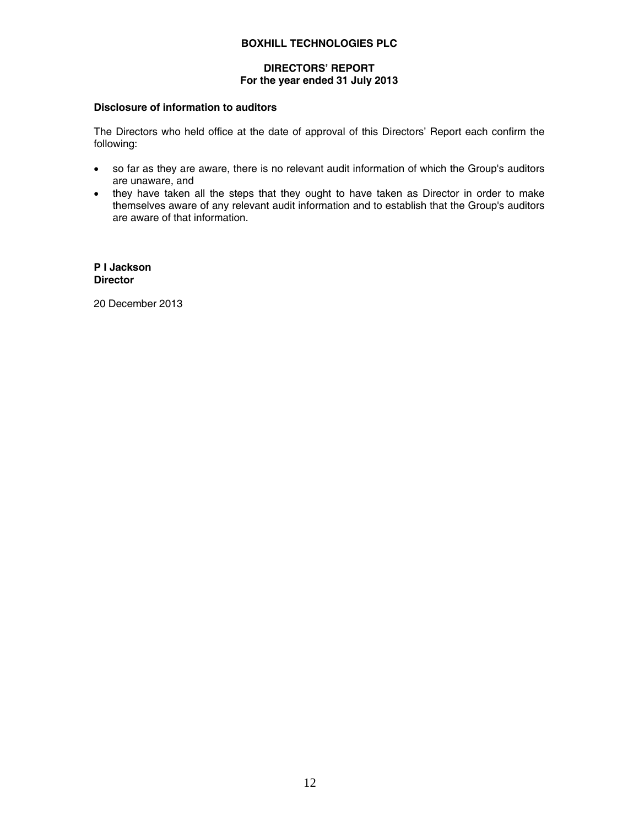# **DIRECTORS' REPORT For the year ended 31 July 2013**

### **Disclosure of information to auditors**

The Directors who held office at the date of approval of this Directors' Report each confirm the following:

- so far as they are aware, there is no relevant audit information of which the Group's auditors are unaware, and
- they have taken all the steps that they ought to have taken as Director in order to make themselves aware of any relevant audit information and to establish that the Group's auditors are aware of that information.

**P I Jackson Director** 

20 December 2013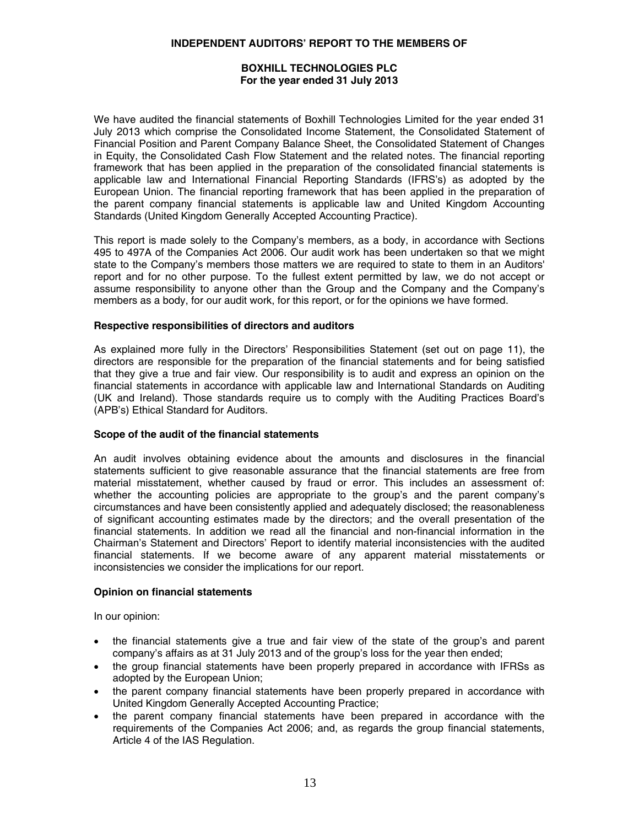### **INDEPENDENT AUDITORS' REPORT TO THE MEMBERS OF**

### **BOXHILL TECHNOLOGIES PLC For the year ended 31 July 2013**

We have audited the financial statements of Boxhill Technologies Limited for the year ended 31 July 2013 which comprise the Consolidated Income Statement, the Consolidated Statement of Financial Position and Parent Company Balance Sheet, the Consolidated Statement of Changes in Equity, the Consolidated Cash Flow Statement and the related notes. The financial reporting framework that has been applied in the preparation of the consolidated financial statements is applicable law and International Financial Reporting Standards (IFRS's) as adopted by the European Union. The financial reporting framework that has been applied in the preparation of the parent company financial statements is applicable law and United Kingdom Accounting Standards (United Kingdom Generally Accepted Accounting Practice).

This report is made solely to the Company's members, as a body, in accordance with Sections 495 to 497A of the Companies Act 2006. Our audit work has been undertaken so that we might state to the Company's members those matters we are required to state to them in an Auditors' report and for no other purpose. To the fullest extent permitted by law, we do not accept or assume responsibility to anyone other than the Group and the Company and the Company's members as a body, for our audit work, for this report, or for the opinions we have formed.

### **Respective responsibilities of directors and auditors**

As explained more fully in the Directors' Responsibilities Statement (set out on page 11), the directors are responsible for the preparation of the financial statements and for being satisfied that they give a true and fair view. Our responsibility is to audit and express an opinion on the financial statements in accordance with applicable law and International Standards on Auditing (UK and Ireland). Those standards require us to comply with the Auditing Practices Board's (APB's) Ethical Standard for Auditors.

### **Scope of the audit of the financial statements**

An audit involves obtaining evidence about the amounts and disclosures in the financial statements sufficient to give reasonable assurance that the financial statements are free from material misstatement, whether caused by fraud or error. This includes an assessment of: whether the accounting policies are appropriate to the group's and the parent company's circumstances and have been consistently applied and adequately disclosed; the reasonableness of significant accounting estimates made by the directors; and the overall presentation of the financial statements. In addition we read all the financial and non-financial information in the Chairman's Statement and Directors' Report to identify material inconsistencies with the audited financial statements. If we become aware of any apparent material misstatements or inconsistencies we consider the implications for our report.

### **Opinion on financial statements**

In our opinion:

- the financial statements give a true and fair view of the state of the group's and parent company's affairs as at 31 July 2013 and of the group's loss for the year then ended;
- the group financial statements have been properly prepared in accordance with IFRSs as adopted by the European Union;
- the parent company financial statements have been properly prepared in accordance with United Kingdom Generally Accepted Accounting Practice;
- the parent company financial statements have been prepared in accordance with the requirements of the Companies Act 2006; and, as regards the group financial statements, Article 4 of the IAS Regulation.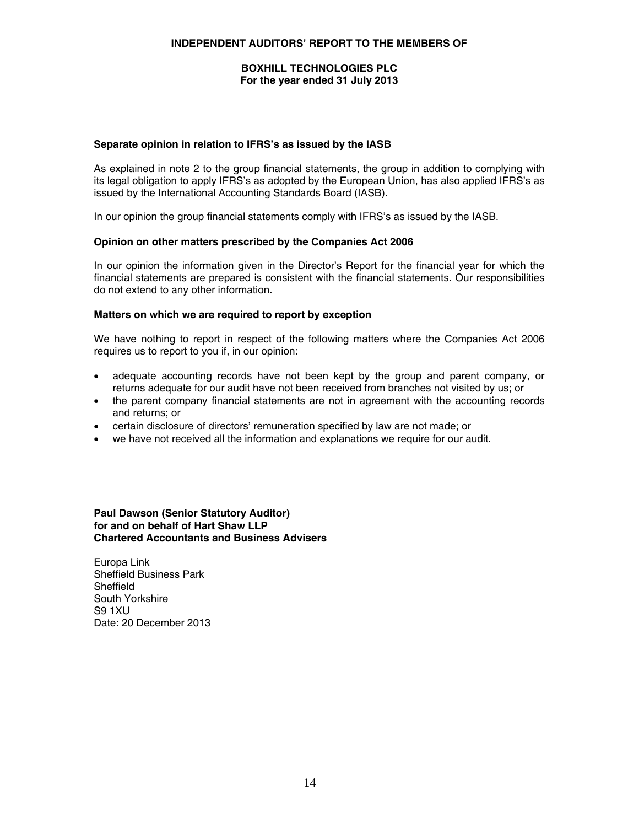### **INDEPENDENT AUDITORS' REPORT TO THE MEMBERS OF**

### **BOXHILL TECHNOLOGIES PLC For the year ended 31 July 2013**

### **Separate opinion in relation to IFRS's as issued by the IASB**

As explained in note 2 to the group financial statements, the group in addition to complying with its legal obligation to apply IFRS's as adopted by the European Union, has also applied IFRS's as issued by the International Accounting Standards Board (IASB).

In our opinion the group financial statements comply with IFRS's as issued by the IASB.

#### **Opinion on other matters prescribed by the Companies Act 2006**

In our opinion the information given in the Director's Report for the financial year for which the financial statements are prepared is consistent with the financial statements. Our responsibilities do not extend to any other information.

#### **Matters on which we are required to report by exception**

We have nothing to report in respect of the following matters where the Companies Act 2006 requires us to report to you if, in our opinion:

- adequate accounting records have not been kept by the group and parent company, or returns adequate for our audit have not been received from branches not visited by us; or
- the parent company financial statements are not in agreement with the accounting records and returns; or
- certain disclosure of directors' remuneration specified by law are not made; or
- we have not received all the information and explanations we require for our audit.

**Paul Dawson (Senior Statutory Auditor) for and on behalf of Hart Shaw LLP Chartered Accountants and Business Advisers** 

Europa Link Sheffield Business Park **Sheffield** South Yorkshire S9 1XU Date: 20 December 2013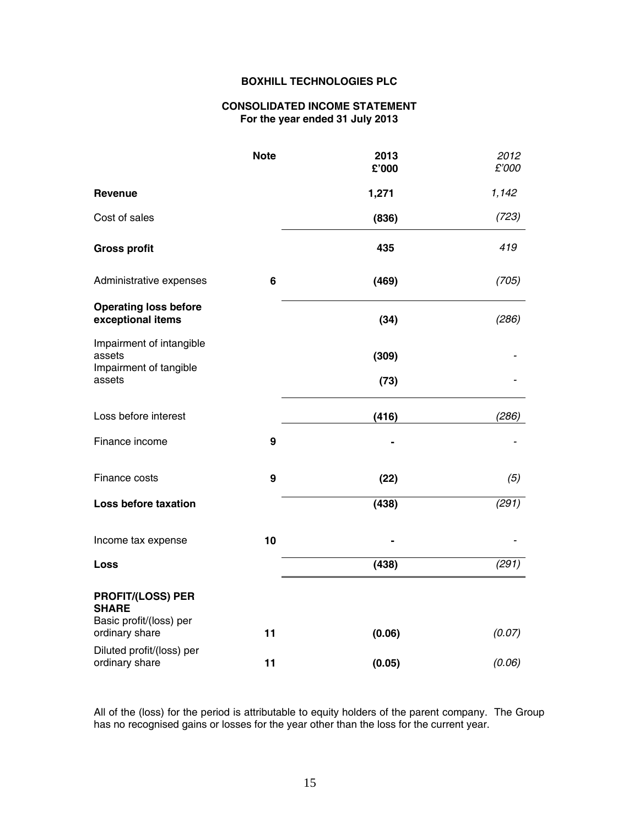### **CONSOLIDATED INCOME STATEMENT For the year ended 31 July 2013**

|                                                              | <b>Note</b> | 2013<br>£'000 | 2012<br>£'000 |
|--------------------------------------------------------------|-------------|---------------|---------------|
| <b>Revenue</b>                                               |             | 1,271         | 1,142         |
| Cost of sales                                                |             | (836)         | (723)         |
| <b>Gross profit</b>                                          |             | 435           | 419           |
| Administrative expenses                                      | 6           | (469)         | (705)         |
| <b>Operating loss before</b><br>exceptional items            |             | (34)          | (286)         |
| Impairment of intangible<br>assets<br>Impairment of tangible |             | (309)         |               |
| assets                                                       |             | (73)          |               |
| Loss before interest                                         |             | (416)         | (286)         |
| Finance income                                               | 9           |               |               |
| Finance costs                                                | 9           | (22)          | (5)           |
| Loss before taxation                                         |             | (438)         | (291)         |
| Income tax expense                                           | 10          |               |               |
| Loss                                                         |             | (438)         | (291)         |
| <b>PROFIT/(LOSS) PER</b><br><b>SHARE</b>                     |             |               |               |
| Basic profit/(loss) per<br>ordinary share                    | 11          | (0.06)        | (0.07)        |
| Diluted profit/(loss) per<br>ordinary share                  | 11          | (0.05)        | (0.06)        |

All of the (loss) for the period is attributable to equity holders of the parent company. The Group has no recognised gains or losses for the year other than the loss for the current year.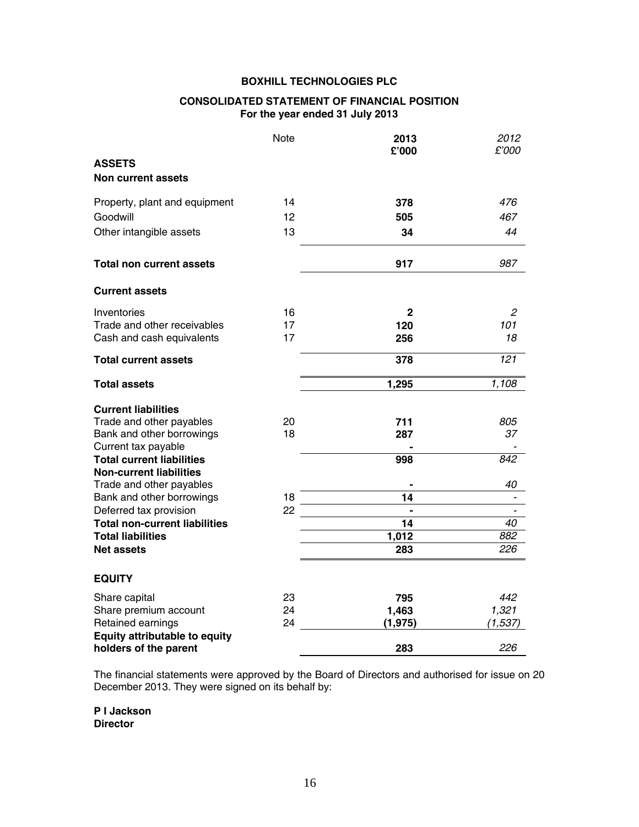# **CONSOLIDATED STATEMENT OF FINANCIAL POSITION For the year ended 31 July 2013**

|                                                                    | <b>Note</b> | 2013<br>£'000   | 2012<br>£'000 |
|--------------------------------------------------------------------|-------------|-----------------|---------------|
| <b>ASSETS</b>                                                      |             |                 |               |
| <b>Non current assets</b>                                          |             |                 |               |
| Property, plant and equipment                                      | 14          | 378             | 476           |
| Goodwill                                                           | 12          | 505             | 467           |
| Other intangible assets                                            | 13          | 34              | 44            |
| <b>Total non current assets</b>                                    |             | 917             | 987           |
| <b>Current assets</b>                                              |             |                 |               |
| Inventories                                                        | 16          | $\mathbf{2}$    | 2             |
| Trade and other receivables                                        | 17          | 120             | 101           |
| Cash and cash equivalents                                          | 17          | 256             | 18            |
| <b>Total current assets</b>                                        |             | 378             | 121           |
| <b>Total assets</b>                                                |             | 1,295           | 1,108         |
| <b>Current liabilities</b>                                         |             |                 |               |
| Trade and other payables                                           | 20          | 711             | 805           |
| Bank and other borrowings                                          | 18          | 287             | 37            |
| Current tax payable                                                |             |                 |               |
| <b>Total current liabilities</b><br><b>Non-current liabilities</b> |             | 998             | 842           |
| Trade and other payables                                           |             |                 | 40            |
| Bank and other borrowings                                          | 18          | 14              |               |
| Deferred tax provision                                             | 22          |                 |               |
| <b>Total non-current liabilities</b>                               |             | $\overline{14}$ | 40            |
| <b>Total liabilities</b>                                           |             | 1,012           | 882           |
| <b>Net assets</b>                                                  |             | 283             | 226           |
| <b>EQUITY</b>                                                      |             |                 |               |
| Share capital                                                      | 23          | 795             | 442           |
| Share premium account                                              | 24          | 1,463           | 1,321         |
| Retained earnings                                                  | 24          | (1, 975)        | (1, 537)      |
| <b>Equity attributable to equity</b><br>holders of the parent      |             | 283             | 226           |

The financial statements were approved by the Board of Directors and authorised for issue on 20 December 2013. They were signed on its behalf by:

**P I Jackson Director**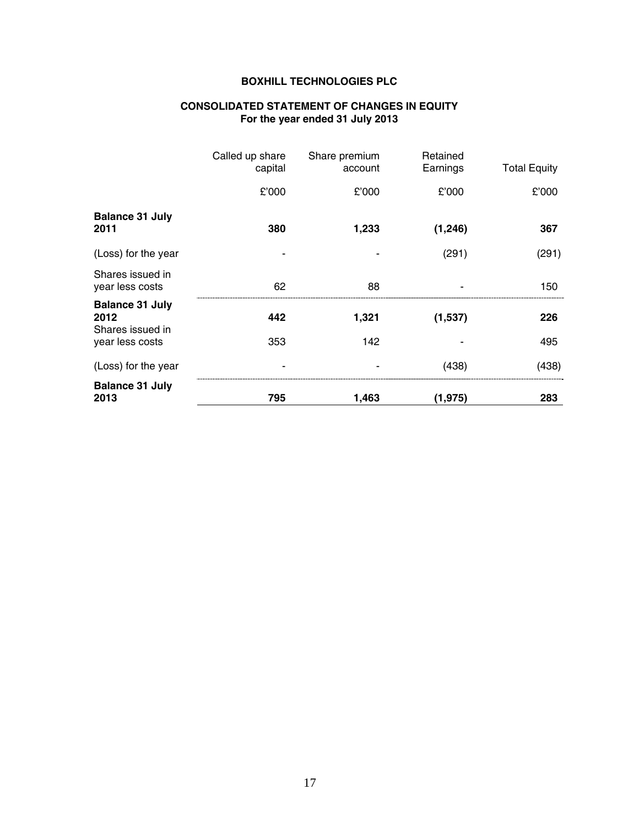#### **CONSOLIDATED STATEMENT OF CHANGES IN EQUITY For the year ended 31 July 2013**

|                                                    | Called up share | Share premium | Retained |                     |
|----------------------------------------------------|-----------------|---------------|----------|---------------------|
|                                                    | capital         | account       | Earnings | <b>Total Equity</b> |
|                                                    | £'000           | £'000         | £'000    | £'000               |
| <b>Balance 31 July</b><br>2011                     | 380             | 1,233         | (1, 246) | 367                 |
| (Loss) for the year                                |                 |               | (291)    | (291)               |
| Shares issued in<br>year less costs                | 62              | 88            |          | 150                 |
| <b>Balance 31 July</b><br>2012<br>Shares issued in | 442             | 1,321         | (1,537)  | 226                 |
| year less costs                                    | 353             | 142           |          | 495                 |
| (Loss) for the year                                | ۰               |               | (438)    | (438)               |
| <b>Balance 31 July</b><br>2013                     | 795             | 1,463         | (1, 975) | 283                 |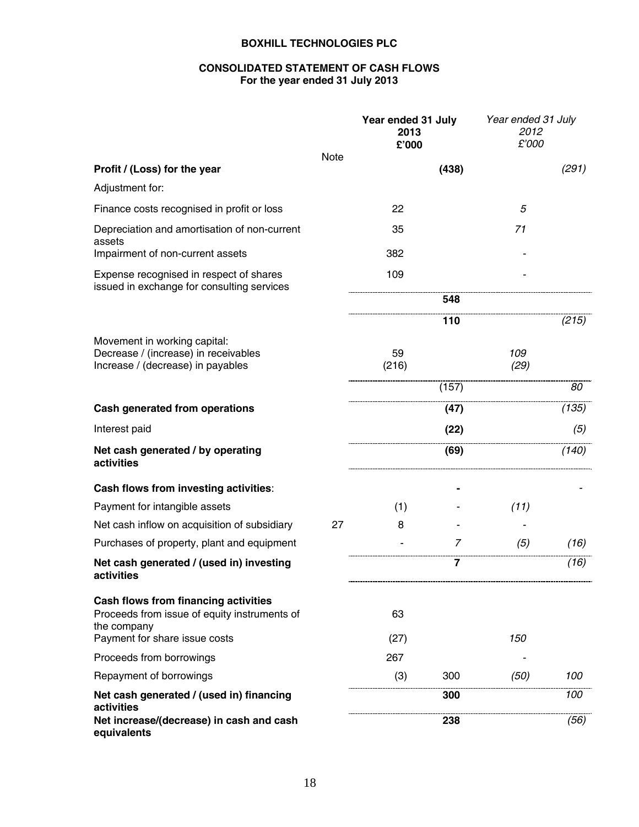# **CONSOLIDATED STATEMENT OF CASH FLOWS For the year ended 31 July 2013**

|                                                                                                                                      |      | Year ended 31 July<br>2013<br>£'000 |       | Year ended 31 July<br>2012<br>£'000 |       |
|--------------------------------------------------------------------------------------------------------------------------------------|------|-------------------------------------|-------|-------------------------------------|-------|
| Profit / (Loss) for the year                                                                                                         | Note |                                     | (438) |                                     | (291) |
| Adjustment for:                                                                                                                      |      |                                     |       |                                     |       |
| Finance costs recognised in profit or loss                                                                                           |      | 22                                  |       | 5                                   |       |
| Depreciation and amortisation of non-current<br>assets                                                                               |      | 35                                  |       | 71                                  |       |
| Impairment of non-current assets                                                                                                     |      | 382                                 |       |                                     |       |
| Expense recognised in respect of shares<br>issued in exchange for consulting services                                                |      | 109                                 |       |                                     |       |
|                                                                                                                                      |      |                                     | 548   |                                     |       |
|                                                                                                                                      |      |                                     | 110   |                                     | (215) |
| Movement in working capital:<br>Decrease / (increase) in receivables<br>Increase / (decrease) in payables                            |      | 59<br>(216)                         |       | 109<br>(29)                         |       |
|                                                                                                                                      |      |                                     | (157) |                                     | 80    |
| Cash generated from operations                                                                                                       |      |                                     | (47)  |                                     | (135) |
| Interest paid                                                                                                                        |      |                                     | (22)  |                                     | (5)   |
| Net cash generated / by operating<br>activities                                                                                      |      |                                     | (69)  |                                     | (140) |
| Cash flows from investing activities:                                                                                                |      |                                     |       |                                     |       |
| Payment for intangible assets                                                                                                        |      | (1)                                 |       | (11)                                |       |
| Net cash inflow on acquisition of subsidiary                                                                                         | 27   | 8                                   |       |                                     |       |
| Purchases of property, plant and equipment                                                                                           |      |                                     | 7     | (5)                                 | (16)  |
| Net cash generated / (used in) investing<br>activities                                                                               |      |                                     | 7     |                                     | (16)  |
| Cash flows from financing activities<br>Proceeds from issue of equity instruments of<br>the company<br>Payment for share issue costs |      | 63<br>(27)                          |       | 150                                 |       |
| Proceeds from borrowings                                                                                                             |      | 267                                 |       |                                     |       |
| Repayment of borrowings                                                                                                              |      | (3)                                 | 300   | (50)                                | 100   |
| Net cash generated / (used in) financing                                                                                             |      |                                     | 300   |                                     | 100   |
| activities<br>Net increase/(decrease) in cash and cash<br>equivalents                                                                |      |                                     | 238   |                                     | (56)  |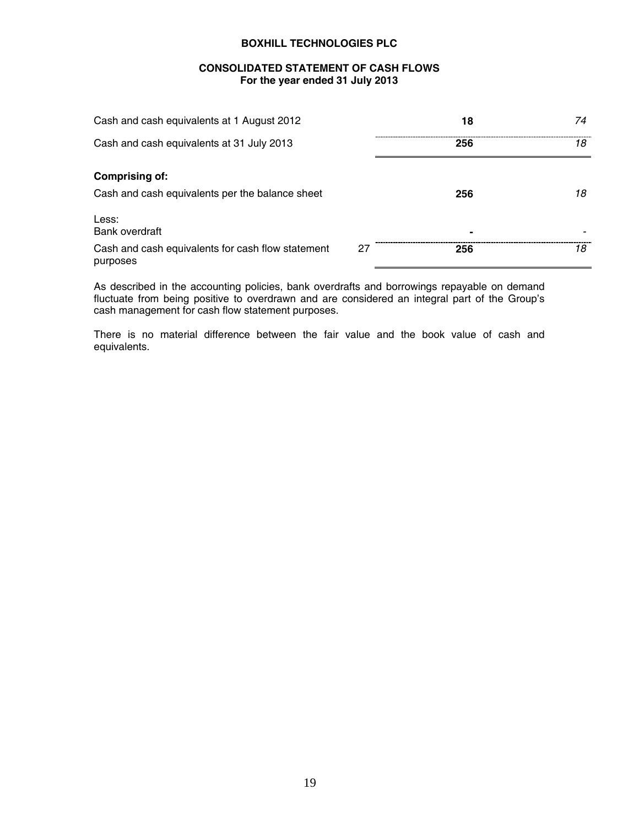### **CONSOLIDATED STATEMENT OF CASH FLOWS For the year ended 31 July 2013**

| Cash and cash equivalents at 1 August 2012                    |    | 18             | 74 |
|---------------------------------------------------------------|----|----------------|----|
| Cash and cash equivalents at 31 July 2013                     |    | 256            | 18 |
| <b>Comprising of:</b>                                         |    |                |    |
| Cash and cash equivalents per the balance sheet               |    | 256            | 18 |
| Less:<br>Bank overdraft                                       |    | $\blacksquare$ |    |
| Cash and cash equivalents for cash flow statement<br>purposes | 27 | 256            | 18 |

As described in the accounting policies, bank overdrafts and borrowings repayable on demand fluctuate from being positive to overdrawn and are considered an integral part of the Group's cash management for cash flow statement purposes.

There is no material difference between the fair value and the book value of cash and equivalents.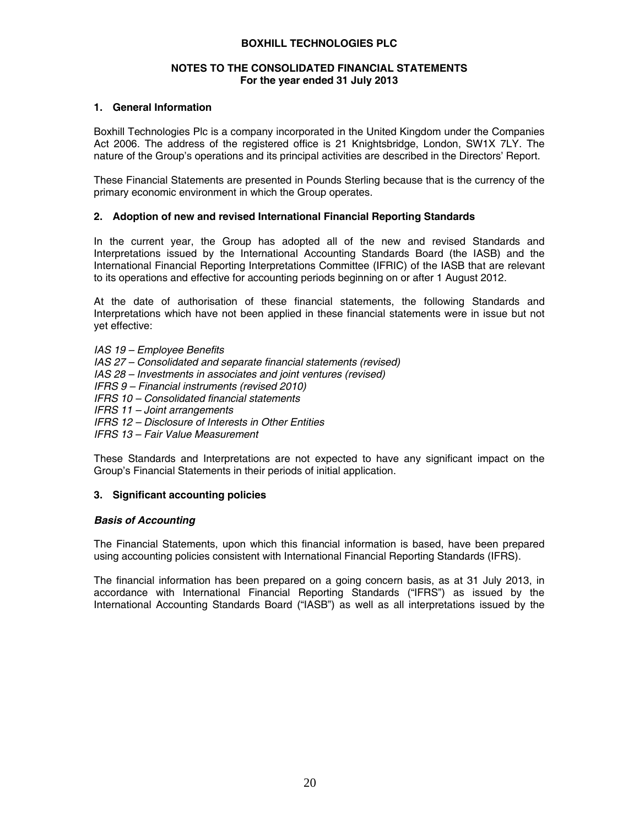### **NOTES TO THE CONSOLIDATED FINANCIAL STATEMENTS For the year ended 31 July 2013**

### **1. General Information**

Boxhill Technologies Plc is a company incorporated in the United Kingdom under the Companies Act 2006. The address of the registered office is 21 Knightsbridge, London, SW1X 7LY. The nature of the Group's operations and its principal activities are described in the Directors' Report.

These Financial Statements are presented in Pounds Sterling because that is the currency of the primary economic environment in which the Group operates.

### **2. Adoption of new and revised International Financial Reporting Standards**

In the current year, the Group has adopted all of the new and revised Standards and Interpretations issued by the International Accounting Standards Board (the IASB) and the International Financial Reporting Interpretations Committee (IFRIC) of the IASB that are relevant to its operations and effective for accounting periods beginning on or after 1 August 2012.

At the date of authorisation of these financial statements, the following Standards and Interpretations which have not been applied in these financial statements were in issue but not yet effective:

*IAS 19 – Employee Benefits IAS 27 – Consolidated and separate financial statements (revised) IAS 28 – Investments in associates and joint ventures (revised) IFRS 9 – Financial instruments (revised 2010) IFRS 10 – Consolidated financial statements IFRS 11 – Joint arrangements IFRS 12 – Disclosure of Interests in Other Entities* 

*IFRS 13 – Fair Value Measurement* 

These Standards and Interpretations are not expected to have any significant impact on the Group's Financial Statements in their periods of initial application.

### **3. Significant accounting policies**

### *Basis of Accounting*

The Financial Statements, upon which this financial information is based, have been prepared using accounting policies consistent with International Financial Reporting Standards (IFRS).

The financial information has been prepared on a going concern basis, as at 31 July 2013, in accordance with International Financial Reporting Standards ("IFRS") as issued by the International Accounting Standards Board ("IASB") as well as all interpretations issued by the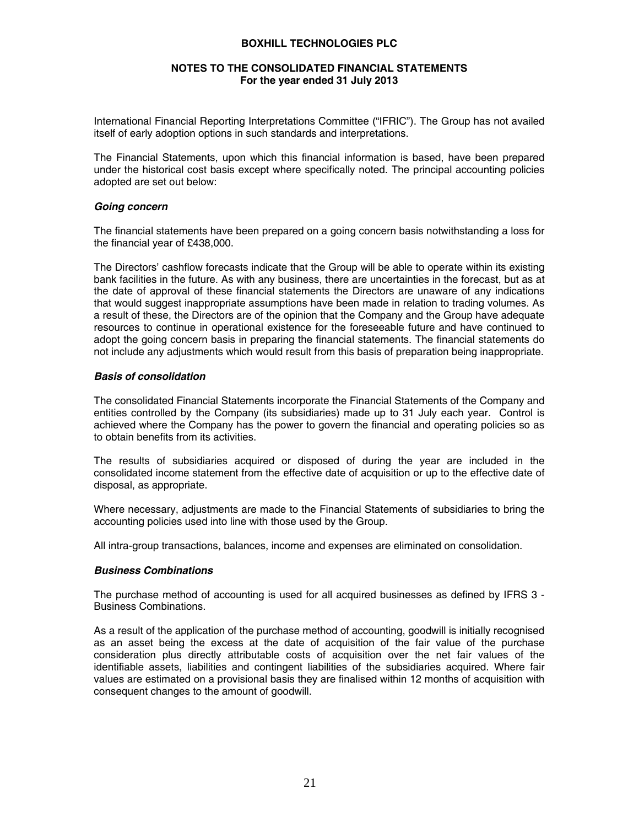### **NOTES TO THE CONSOLIDATED FINANCIAL STATEMENTS For the year ended 31 July 2013**

International Financial Reporting Interpretations Committee ("IFRIC"). The Group has not availed itself of early adoption options in such standards and interpretations.

The Financial Statements, upon which this financial information is based, have been prepared under the historical cost basis except where specifically noted. The principal accounting policies adopted are set out below:

### *Going concern*

The financial statements have been prepared on a going concern basis notwithstanding a loss for the financial year of £438,000.

The Directors' cashflow forecasts indicate that the Group will be able to operate within its existing bank facilities in the future. As with any business, there are uncertainties in the forecast, but as at the date of approval of these financial statements the Directors are unaware of any indications that would suggest inappropriate assumptions have been made in relation to trading volumes. As a result of these, the Directors are of the opinion that the Company and the Group have adequate resources to continue in operational existence for the foreseeable future and have continued to adopt the going concern basis in preparing the financial statements. The financial statements do not include any adjustments which would result from this basis of preparation being inappropriate.

### *Basis of consolidation*

The consolidated Financial Statements incorporate the Financial Statements of the Company and entities controlled by the Company (its subsidiaries) made up to 31 July each year. Control is achieved where the Company has the power to govern the financial and operating policies so as to obtain benefits from its activities.

The results of subsidiaries acquired or disposed of during the year are included in the consolidated income statement from the effective date of acquisition or up to the effective date of disposal, as appropriate.

Where necessary, adjustments are made to the Financial Statements of subsidiaries to bring the accounting policies used into line with those used by the Group.

All intra-group transactions, balances, income and expenses are eliminated on consolidation.

### *Business Combinations*

The purchase method of accounting is used for all acquired businesses as defined by IFRS 3 - Business Combinations.

As a result of the application of the purchase method of accounting, goodwill is initially recognised as an asset being the excess at the date of acquisition of the fair value of the purchase consideration plus directly attributable costs of acquisition over the net fair values of the identifiable assets, liabilities and contingent liabilities of the subsidiaries acquired. Where fair values are estimated on a provisional basis they are finalised within 12 months of acquisition with consequent changes to the amount of goodwill.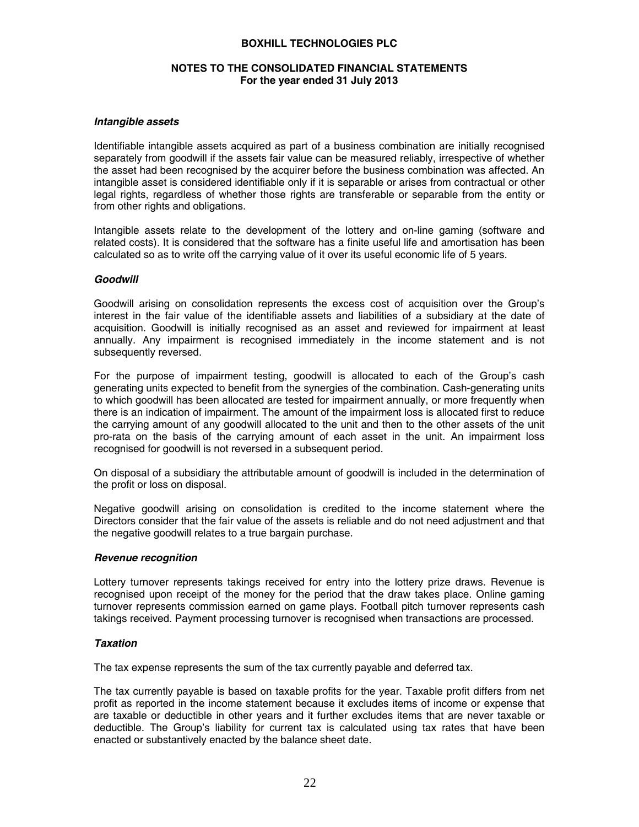### **NOTES TO THE CONSOLIDATED FINANCIAL STATEMENTS For the year ended 31 July 2013**

#### *Intangible assets*

Identifiable intangible assets acquired as part of a business combination are initially recognised separately from goodwill if the assets fair value can be measured reliably, irrespective of whether the asset had been recognised by the acquirer before the business combination was affected. An intangible asset is considered identifiable only if it is separable or arises from contractual or other legal rights, regardless of whether those rights are transferable or separable from the entity or from other rights and obligations.

Intangible assets relate to the development of the lottery and on-line gaming (software and related costs). It is considered that the software has a finite useful life and amortisation has been calculated so as to write off the carrying value of it over its useful economic life of 5 years.

#### *Goodwill*

Goodwill arising on consolidation represents the excess cost of acquisition over the Group's interest in the fair value of the identifiable assets and liabilities of a subsidiary at the date of acquisition. Goodwill is initially recognised as an asset and reviewed for impairment at least annually. Any impairment is recognised immediately in the income statement and is not subsequently reversed.

For the purpose of impairment testing, goodwill is allocated to each of the Group's cash generating units expected to benefit from the synergies of the combination. Cash-generating units to which goodwill has been allocated are tested for impairment annually, or more frequently when there is an indication of impairment. The amount of the impairment loss is allocated first to reduce the carrying amount of any goodwill allocated to the unit and then to the other assets of the unit pro-rata on the basis of the carrying amount of each asset in the unit. An impairment loss recognised for goodwill is not reversed in a subsequent period.

On disposal of a subsidiary the attributable amount of goodwill is included in the determination of the profit or loss on disposal.

Negative goodwill arising on consolidation is credited to the income statement where the Directors consider that the fair value of the assets is reliable and do not need adjustment and that the negative goodwill relates to a true bargain purchase.

#### *Revenue recognition*

Lottery turnover represents takings received for entry into the lottery prize draws. Revenue is recognised upon receipt of the money for the period that the draw takes place. Online gaming turnover represents commission earned on game plays. Football pitch turnover represents cash takings received. Payment processing turnover is recognised when transactions are processed.

### *Taxation*

The tax expense represents the sum of the tax currently payable and deferred tax.

The tax currently payable is based on taxable profits for the year. Taxable profit differs from net profit as reported in the income statement because it excludes items of income or expense that are taxable or deductible in other years and it further excludes items that are never taxable or deductible. The Group's liability for current tax is calculated using tax rates that have been enacted or substantively enacted by the balance sheet date.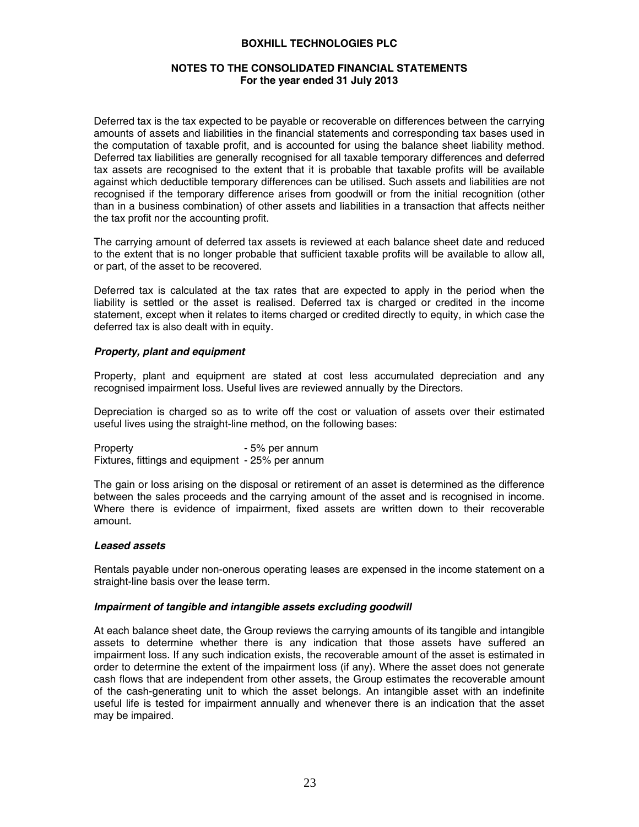### **NOTES TO THE CONSOLIDATED FINANCIAL STATEMENTS For the year ended 31 July 2013**

Deferred tax is the tax expected to be payable or recoverable on differences between the carrying amounts of assets and liabilities in the financial statements and corresponding tax bases used in the computation of taxable profit, and is accounted for using the balance sheet liability method. Deferred tax liabilities are generally recognised for all taxable temporary differences and deferred tax assets are recognised to the extent that it is probable that taxable profits will be available against which deductible temporary differences can be utilised. Such assets and liabilities are not recognised if the temporary difference arises from goodwill or from the initial recognition (other than in a business combination) of other assets and liabilities in a transaction that affects neither the tax profit nor the accounting profit.

The carrying amount of deferred tax assets is reviewed at each balance sheet date and reduced to the extent that is no longer probable that sufficient taxable profits will be available to allow all, or part, of the asset to be recovered.

Deferred tax is calculated at the tax rates that are expected to apply in the period when the liability is settled or the asset is realised. Deferred tax is charged or credited in the income statement, except when it relates to items charged or credited directly to equity, in which case the deferred tax is also dealt with in equity.

### *Property, plant and equipment*

Property, plant and equipment are stated at cost less accumulated depreciation and any recognised impairment loss. Useful lives are reviewed annually by the Directors.

Depreciation is charged so as to write off the cost or valuation of assets over their estimated useful lives using the straight-line method, on the following bases:

Property **- 5% per annum** Fixtures, fittings and equipment - 25% per annum

The gain or loss arising on the disposal or retirement of an asset is determined as the difference between the sales proceeds and the carrying amount of the asset and is recognised in income. Where there is evidence of impairment, fixed assets are written down to their recoverable amount.

### *Leased assets*

Rentals payable under non-onerous operating leases are expensed in the income statement on a straight-line basis over the lease term.

### *Impairment of tangible and intangible assets excluding goodwill*

At each balance sheet date, the Group reviews the carrying amounts of its tangible and intangible assets to determine whether there is any indication that those assets have suffered an impairment loss. If any such indication exists, the recoverable amount of the asset is estimated in order to determine the extent of the impairment loss (if any). Where the asset does not generate cash flows that are independent from other assets, the Group estimates the recoverable amount of the cash-generating unit to which the asset belongs. An intangible asset with an indefinite useful life is tested for impairment annually and whenever there is an indication that the asset may be impaired.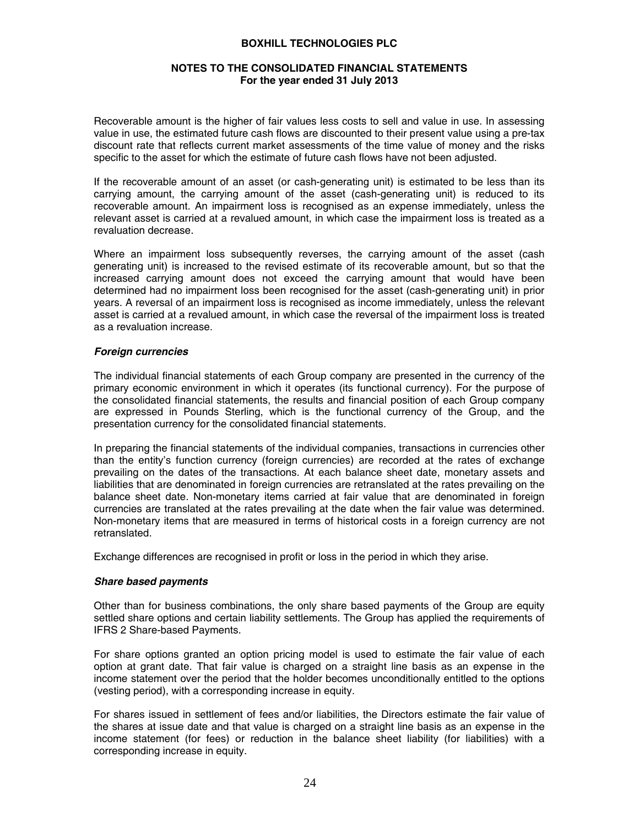### **NOTES TO THE CONSOLIDATED FINANCIAL STATEMENTS For the year ended 31 July 2013**

Recoverable amount is the higher of fair values less costs to sell and value in use. In assessing value in use, the estimated future cash flows are discounted to their present value using a pre-tax discount rate that reflects current market assessments of the time value of money and the risks specific to the asset for which the estimate of future cash flows have not been adjusted.

If the recoverable amount of an asset (or cash-generating unit) is estimated to be less than its carrying amount, the carrying amount of the asset (cash-generating unit) is reduced to its recoverable amount. An impairment loss is recognised as an expense immediately, unless the relevant asset is carried at a revalued amount, in which case the impairment loss is treated as a revaluation decrease.

Where an impairment loss subsequently reverses, the carrying amount of the asset (cash generating unit) is increased to the revised estimate of its recoverable amount, but so that the increased carrying amount does not exceed the carrying amount that would have been determined had no impairment loss been recognised for the asset (cash-generating unit) in prior years. A reversal of an impairment loss is recognised as income immediately, unless the relevant asset is carried at a revalued amount, in which case the reversal of the impairment loss is treated as a revaluation increase.

### *Foreign currencies*

The individual financial statements of each Group company are presented in the currency of the primary economic environment in which it operates (its functional currency). For the purpose of the consolidated financial statements, the results and financial position of each Group company are expressed in Pounds Sterling, which is the functional currency of the Group, and the presentation currency for the consolidated financial statements.

In preparing the financial statements of the individual companies, transactions in currencies other than the entity's function currency (foreign currencies) are recorded at the rates of exchange prevailing on the dates of the transactions. At each balance sheet date, monetary assets and liabilities that are denominated in foreign currencies are retranslated at the rates prevailing on the balance sheet date. Non-monetary items carried at fair value that are denominated in foreign currencies are translated at the rates prevailing at the date when the fair value was determined. Non-monetary items that are measured in terms of historical costs in a foreign currency are not retranslated.

Exchange differences are recognised in profit or loss in the period in which they arise.

# *Share based payments*

Other than for business combinations, the only share based payments of the Group are equity settled share options and certain liability settlements. The Group has applied the requirements of IFRS 2 Share-based Payments.

For share options granted an option pricing model is used to estimate the fair value of each option at grant date. That fair value is charged on a straight line basis as an expense in the income statement over the period that the holder becomes unconditionally entitled to the options (vesting period), with a corresponding increase in equity.

For shares issued in settlement of fees and/or liabilities, the Directors estimate the fair value of the shares at issue date and that value is charged on a straight line basis as an expense in the income statement (for fees) or reduction in the balance sheet liability (for liabilities) with a corresponding increase in equity.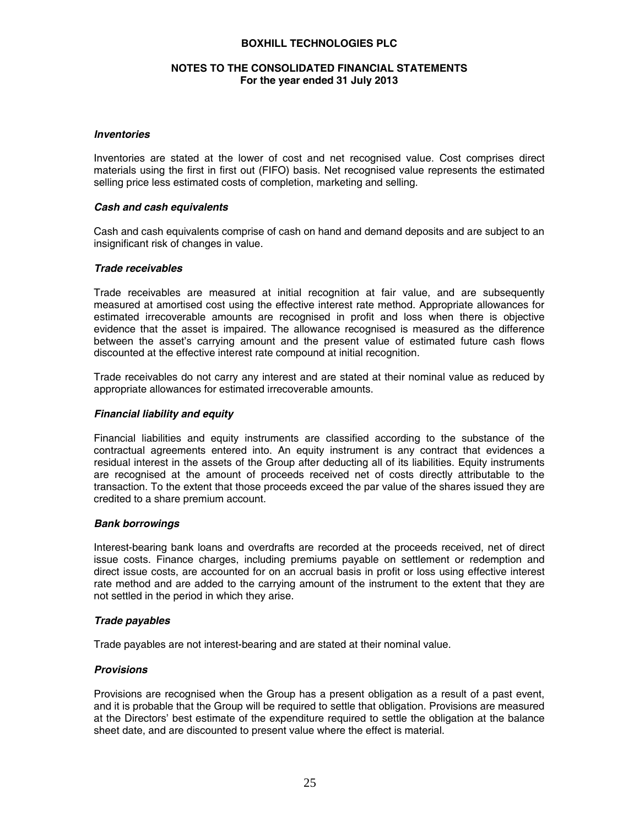### **NOTES TO THE CONSOLIDATED FINANCIAL STATEMENTS For the year ended 31 July 2013**

### *Inventories*

Inventories are stated at the lower of cost and net recognised value. Cost comprises direct materials using the first in first out (FIFO) basis. Net recognised value represents the estimated selling price less estimated costs of completion, marketing and selling.

### *Cash and cash equivalents*

Cash and cash equivalents comprise of cash on hand and demand deposits and are subject to an insignificant risk of changes in value.

### *Trade receivables*

Trade receivables are measured at initial recognition at fair value, and are subsequently measured at amortised cost using the effective interest rate method. Appropriate allowances for estimated irrecoverable amounts are recognised in profit and loss when there is objective evidence that the asset is impaired. The allowance recognised is measured as the difference between the asset's carrying amount and the present value of estimated future cash flows discounted at the effective interest rate compound at initial recognition.

Trade receivables do not carry any interest and are stated at their nominal value as reduced by appropriate allowances for estimated irrecoverable amounts.

### *Financial liability and equity*

Financial liabilities and equity instruments are classified according to the substance of the contractual agreements entered into. An equity instrument is any contract that evidences a residual interest in the assets of the Group after deducting all of its liabilities. Equity instruments are recognised at the amount of proceeds received net of costs directly attributable to the transaction. To the extent that those proceeds exceed the par value of the shares issued they are credited to a share premium account.

### *Bank borrowings*

Interest-bearing bank loans and overdrafts are recorded at the proceeds received, net of direct issue costs. Finance charges, including premiums payable on settlement or redemption and direct issue costs, are accounted for on an accrual basis in profit or loss using effective interest rate method and are added to the carrying amount of the instrument to the extent that they are not settled in the period in which they arise.

### *Trade payables*

Trade payables are not interest-bearing and are stated at their nominal value.

### *Provisions*

Provisions are recognised when the Group has a present obligation as a result of a past event, and it is probable that the Group will be required to settle that obligation. Provisions are measured at the Directors' best estimate of the expenditure required to settle the obligation at the balance sheet date, and are discounted to present value where the effect is material.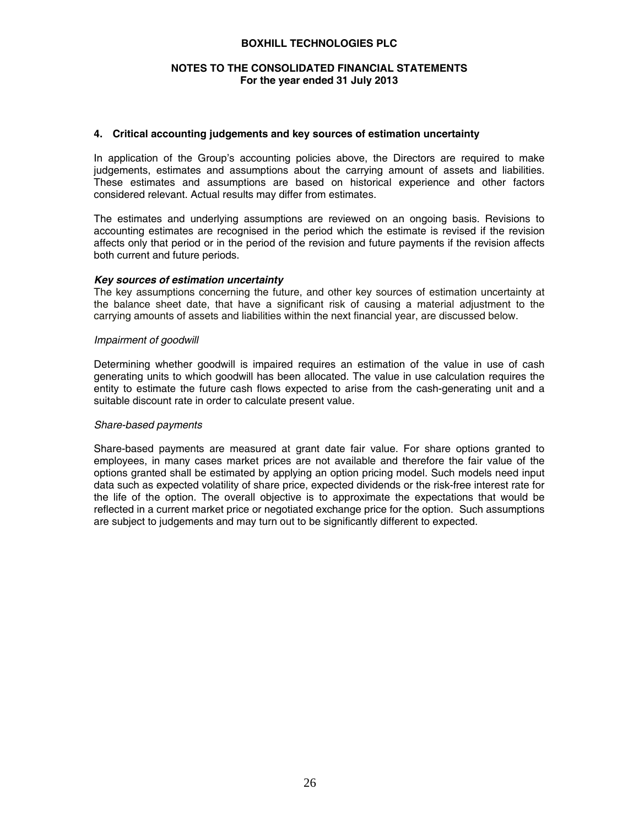### **NOTES TO THE CONSOLIDATED FINANCIAL STATEMENTS For the year ended 31 July 2013**

#### **4. Critical accounting judgements and key sources of estimation uncertainty**

In application of the Group's accounting policies above, the Directors are required to make judgements, estimates and assumptions about the carrying amount of assets and liabilities. These estimates and assumptions are based on historical experience and other factors considered relevant. Actual results may differ from estimates.

The estimates and underlying assumptions are reviewed on an ongoing basis. Revisions to accounting estimates are recognised in the period which the estimate is revised if the revision affects only that period or in the period of the revision and future payments if the revision affects both current and future periods.

#### *Key sources of estimation uncertainty*

The key assumptions concerning the future, and other key sources of estimation uncertainty at the balance sheet date, that have a significant risk of causing a material adjustment to the carrying amounts of assets and liabilities within the next financial year, are discussed below.

#### *Impairment of goodwill*

Determining whether goodwill is impaired requires an estimation of the value in use of cash generating units to which goodwill has been allocated. The value in use calculation requires the entity to estimate the future cash flows expected to arise from the cash-generating unit and a suitable discount rate in order to calculate present value.

#### *Share-based payments*

Share-based payments are measured at grant date fair value. For share options granted to employees, in many cases market prices are not available and therefore the fair value of the options granted shall be estimated by applying an option pricing model. Such models need input data such as expected volatility of share price, expected dividends or the risk-free interest rate for the life of the option. The overall objective is to approximate the expectations that would be reflected in a current market price or negotiated exchange price for the option. Such assumptions are subject to judgements and may turn out to be significantly different to expected.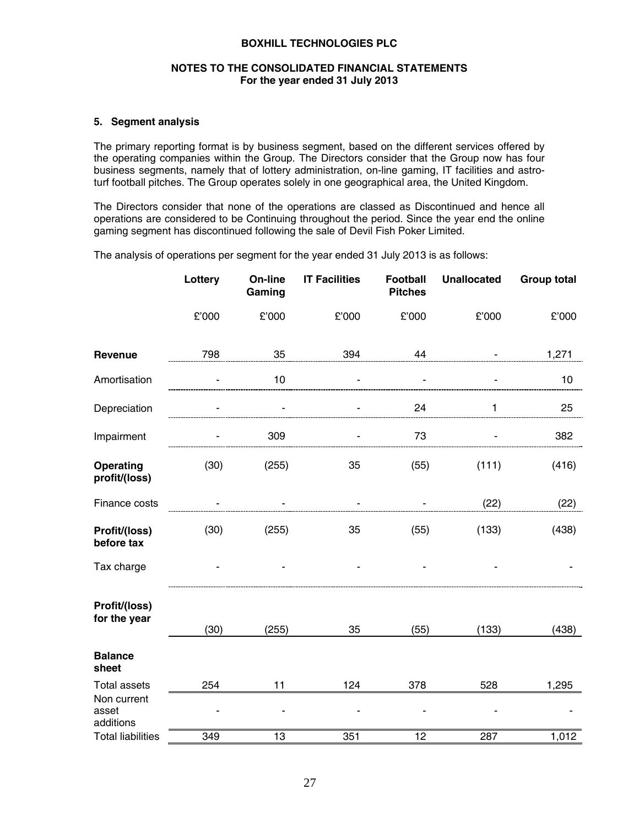### **NOTES TO THE CONSOLIDATED FINANCIAL STATEMENTS For the year ended 31 July 2013**

### **5. Segment analysis**

The primary reporting format is by business segment, based on the different services offered by the operating companies within the Group. The Directors consider that the Group now has four business segments, namely that of lottery administration, on-line gaming, IT facilities and astroturf football pitches. The Group operates solely in one geographical area, the United Kingdom.

The Directors consider that none of the operations are classed as Discontinued and hence all operations are considered to be Continuing throughout the period. Since the year end the online gaming segment has discontinued following the sale of Devil Fish Poker Limited.

The analysis of operations per segment for the year ended 31 July 2013 is as follows:

|                                   | Lottery | On-line<br>Gaming | <b>IT Facilities</b> | <b>Football</b><br><b>Pitches</b> | <b>Unallocated</b> | <b>Group total</b> |
|-----------------------------------|---------|-------------------|----------------------|-----------------------------------|--------------------|--------------------|
|                                   | £'000   | £'000             | £'000                | £'000                             | £'000              | £'000              |
| Revenue                           | 798     | 35                | 394                  | 44                                | $\blacksquare$     | 1,271              |
| Amortisation                      |         | 10                |                      |                                   |                    | 10                 |
| Depreciation                      |         |                   |                      | 24                                | 1                  | 25                 |
| Impairment                        |         | 309               |                      | 73                                |                    | 382                |
| Operating<br>profit/(loss)        | (30)    | (255)             | 35                   | (55)                              | (111)              | (416)              |
| Finance costs                     | ä,      |                   | ä,                   |                                   | (22)               | (22)               |
| Profit/(loss)<br>before tax       | (30)    | (255)             | 35                   | (55)                              | (133)              | (438)              |
| Tax charge                        |         |                   |                      |                                   |                    |                    |
| Profit/(loss)<br>for the year     | (30)    | (255)             | 35                   | (55)                              | (133)              | (438)              |
| <b>Balance</b><br>sheet           |         |                   |                      |                                   |                    |                    |
| <b>Total assets</b>               | 254     | 11                | 124                  | 378                               | 528                | 1,295              |
| Non current<br>asset<br>additions |         |                   |                      |                                   |                    |                    |
| <b>Total liabilities</b>          | 349     | $\overline{13}$   | 351                  | $\overline{12}$                   | 287                | 1,012              |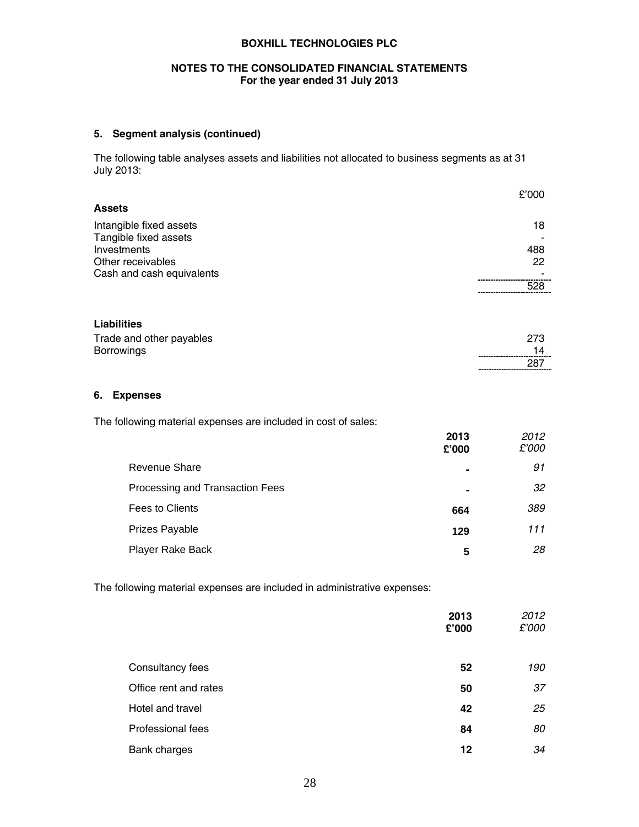### **NOTES TO THE CONSOLIDATED FINANCIAL STATEMENTS For the year ended 31 July 2013**

# **5. Segment analysis (continued)**

The following table analyses assets and liabilities not allocated to business segments as at 31 July 2013:

|                           | £'000 |
|---------------------------|-------|
| <b>Assets</b>             |       |
| Intangible fixed assets   | 18    |
| Tangible fixed assets     |       |
| Investments               | 488   |
| Other receivables         | 22    |
| Cash and cash equivalents |       |
|                           | 528   |
|                           |       |

# **Liabilities**

| Trade and other payables | 273 |
|--------------------------|-----|
| <b>Borrowings</b>        |     |
|                          | 287 |

## **6. Expenses**

The following material expenses are included in cost of sales:

|                                 | 2013<br>£'000  | 2012<br>£'000 |
|---------------------------------|----------------|---------------|
| Revenue Share                   | $\blacksquare$ | 91            |
| Processing and Transaction Fees | $\blacksquare$ | 32            |
| Fees to Clients                 | 664            | 389           |
| Prizes Payable                  | 129            | 111           |
| Player Rake Back                | 5              | 28            |

The following material expenses are included in administrative expenses:

|                       | 2013<br>£'000 | 2012<br>£'000 |
|-----------------------|---------------|---------------|
| Consultancy fees      | 52            | 190           |
| Office rent and rates | 50            | 37            |
| Hotel and travel      | 42            | 25            |
| Professional fees     | 84            | 80            |
| Bank charges          | 12            | 34            |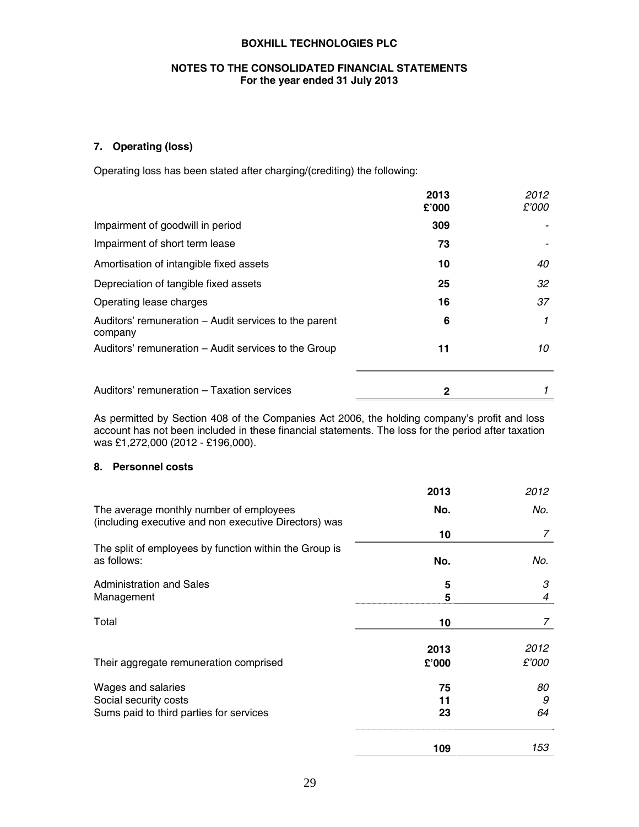# **NOTES TO THE CONSOLIDATED FINANCIAL STATEMENTS For the year ended 31 July 2013**

# **7. Operating (loss)**

Operating loss has been stated after charging/(crediting) the following:

|                                                                  | 2013<br>£'000 | 2012<br>£'000 |
|------------------------------------------------------------------|---------------|---------------|
| Impairment of goodwill in period                                 | 309           |               |
| Impairment of short term lease                                   | 73            |               |
| Amortisation of intangible fixed assets                          | 10            | 40            |
| Depreciation of tangible fixed assets                            | 25            | 32            |
| Operating lease charges                                          | 16            | 37            |
| Auditors' remuneration – Audit services to the parent<br>company | 6             |               |
| Auditors' remuneration – Audit services to the Group             | 11            | 10            |
| Auditors' remuneration - Taxation services                       | 2             |               |

As permitted by Section 408 of the Companies Act 2006, the holding company's profit and loss account has not been included in these financial statements. The loss for the period after taxation was £1,272,000 (2012 - £196,000).

### **8. Personnel costs**

|                                                                                                  | 2013  | 2012  |
|--------------------------------------------------------------------------------------------------|-------|-------|
| The average monthly number of employees<br>(including executive and non executive Directors) was | No.   | No.   |
|                                                                                                  | 10    | 7     |
| The split of employees by function within the Group is<br>as follows:                            | No.   | No.   |
| <b>Administration and Sales</b>                                                                  | 5     | 3     |
| Management                                                                                       | 5     | 4     |
| Total                                                                                            | 10    | 7     |
|                                                                                                  | 2013  | 2012  |
| Their aggregate remuneration comprised                                                           | £'000 | £'000 |
| Wages and salaries                                                                               | 75    | 80    |
| Social security costs                                                                            | 11    | 9     |
| Sums paid to third parties for services                                                          | 23    | 64    |
|                                                                                                  | 109   | 153   |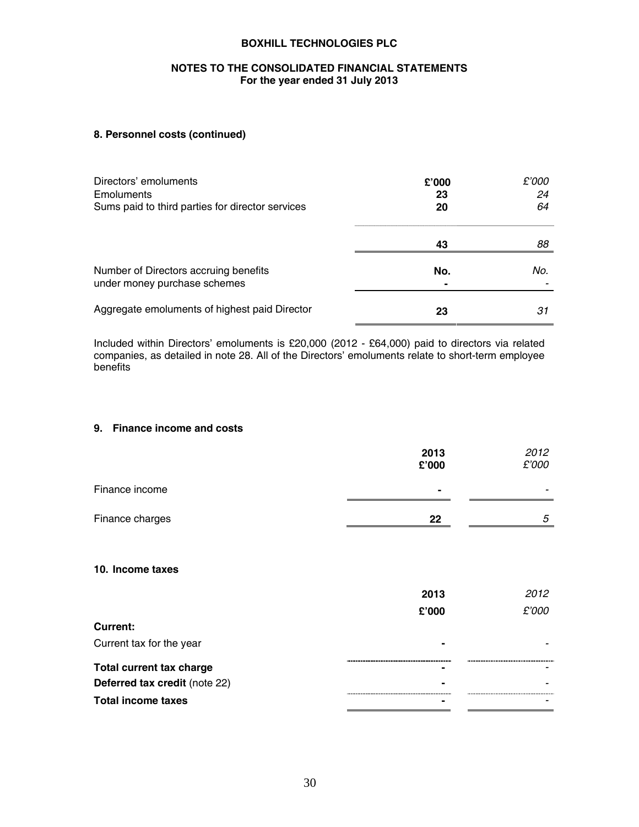### **NOTES TO THE CONSOLIDATED FINANCIAL STATEMENTS For the year ended 31 July 2013**

# **8. Personnel costs (continued)**

| Directors' emoluments<br>Emoluments<br>Sums paid to third parties for director services | £'000<br>23<br>20 | £'000<br>24<br>64 |
|-----------------------------------------------------------------------------------------|-------------------|-------------------|
|                                                                                         | 43                | 88                |
| Number of Directors accruing benefits<br>under money purchase schemes                   | No.               | No.               |
| Aggregate emoluments of highest paid Director                                           | 23                | 31                |

Included within Directors' emoluments is £20,000 (2012 - £64,000) paid to directors via related companies, as detailed in note 28. All of the Directors' emoluments relate to short-term employee benefits

### **9. Finance income and costs**

|                                 | 2013<br>£'000 | 2012<br>£'000 |
|---------------------------------|---------------|---------------|
| Finance income                  |               |               |
| Finance charges                 | $22 \,$       | 5             |
| 10. Income taxes                |               |               |
|                                 | 2013          | 2012          |
|                                 | £'000         | £'000         |
| <b>Current:</b>                 |               |               |
| Current tax for the year        |               |               |
| <b>Total current tax charge</b> |               |               |
| Deferred tax credit (note 22)   |               |               |
| <b>Total income taxes</b>       |               |               |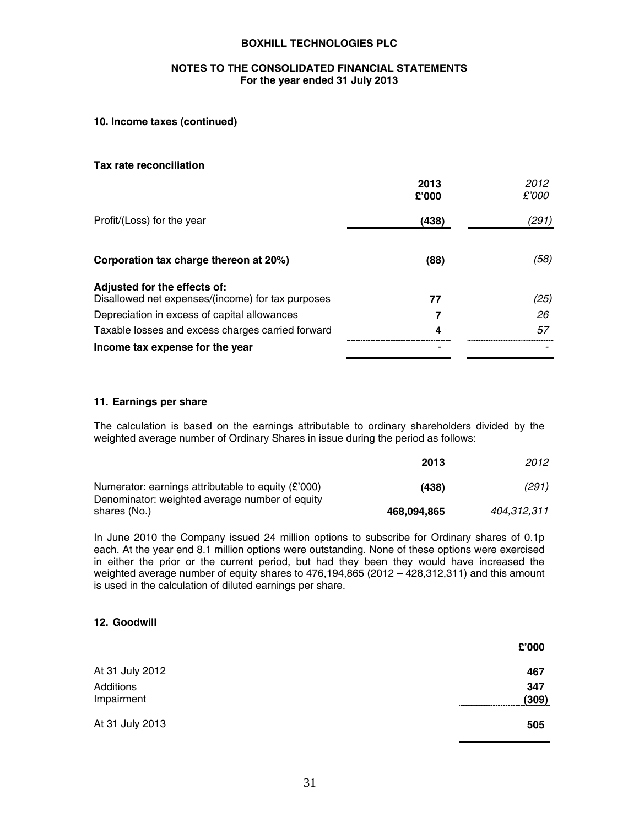### **NOTES TO THE CONSOLIDATED FINANCIAL STATEMENTS For the year ended 31 July 2013**

## **10. Income taxes (continued)**

#### **Tax rate reconciliation**

|                                                                                   | 2013<br>£'000 | 2012<br>£'000 |
|-----------------------------------------------------------------------------------|---------------|---------------|
| Profit/(Loss) for the year                                                        | (438)         | (291)         |
| Corporation tax charge thereon at 20%)                                            | (88)          | (58)          |
| Adjusted for the effects of:<br>Disallowed net expenses/(income) for tax purposes | 77            | (25)          |
| Depreciation in excess of capital allowances                                      |               | 26            |
| Taxable losses and excess charges carried forward                                 | 4             | 57            |
| Income tax expense for the year                                                   | -             |               |

#### **11. Earnings per share**

The calculation is based on the earnings attributable to ordinary shareholders divided by the weighted average number of Ordinary Shares in issue during the period as follows:

|                                                                                                        | 2013        | 2012        |
|--------------------------------------------------------------------------------------------------------|-------------|-------------|
| Numerator: earnings attributable to equity $(E'000)$<br>Denominator: weighted average number of equity | (438)       | (291)       |
| shares (No.)                                                                                           | 468,094,865 | 404.312.311 |

In June 2010 the Company issued 24 million options to subscribe for Ordinary shares of 0.1p each. At the year end 8.1 million options were outstanding. None of these options were exercised in either the prior or the current period, but had they been they would have increased the weighted average number of equity shares to 476,194,865 (2012 – 428,312,311) and this amount is used in the calculation of diluted earnings per share.

## **12. Goodwill**

|                         | £'000        |
|-------------------------|--------------|
| At 31 July 2012         | 467          |
| Additions<br>Impairment | 347<br>(309) |
| At 31 July 2013         | 505          |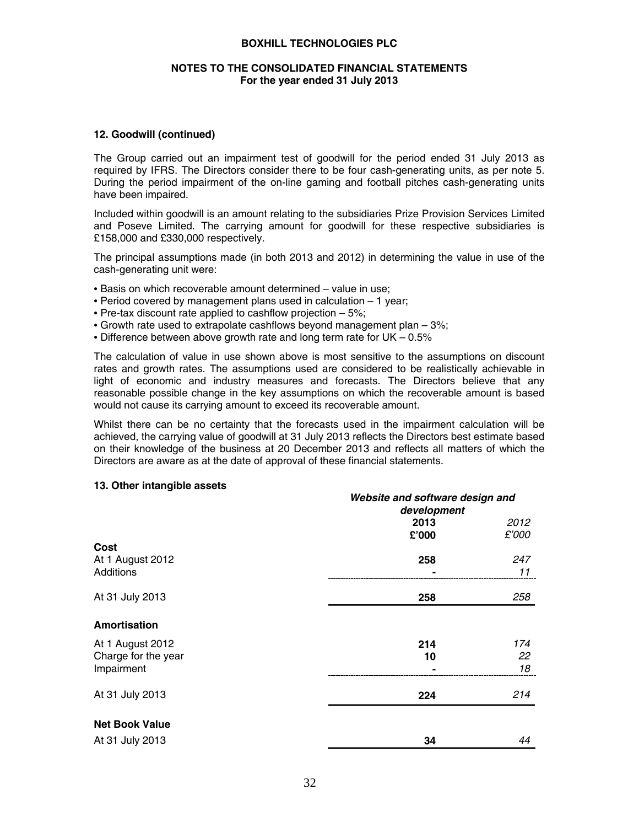### **NOTES TO THE CONSOLIDATED FINANCIAL STATEMENTS For the year ended 31 July 2013**

#### **12. Goodwill (continued)**

The Group carried out an impairment test of goodwill for the period ended 31 July 2013 as required by IFRS. The Directors consider there to be four cash-generating units, as per note 5. During the period impairment of the on-line gaming and football pitches cash-generating units have been impaired.

Included within goodwill is an amount relating to the subsidiaries Prize Provision Services Limited and Poseve Limited. The carrying amount for goodwill for these respective subsidiaries is £158,000 and £330,000 respectively.

The principal assumptions made (in both 2013 and 2012) in determining the value in use of the cash-generating unit were:

- Basis on which recoverable amount determined value in use;
- Period covered by management plans used in calculation 1 year;
- Pre-tax discount rate applied to cashflow projection 5%;
- Growth rate used to extrapolate cashflows beyond management plan 3%;
- Difference between above growth rate and long term rate for UK 0.5%

The calculation of value in use shown above is most sensitive to the assumptions on discount rates and growth rates. The assumptions used are considered to be realistically achievable in light of economic and industry measures and forecasts. The Directors believe that any reasonable possible change in the key assumptions on which the recoverable amount is based would not cause its carrying amount to exceed its recoverable amount.

Whilst there can be no certainty that the forecasts used in the impairment calculation will be achieved, the carrying value of goodwill at 31 July 2013 reflects the Directors best estimate based on their knowledge of the business at 20 December 2013 and reflects all matters of which the Directors are aware as at the date of approval of these financial statements.

#### **13. Other intangible assets**

|                       | development | Website and software design and |  |
|-----------------------|-------------|---------------------------------|--|
|                       | 2013        | 2012                            |  |
|                       | £'000       | £'000                           |  |
| Cost                  |             |                                 |  |
| At 1 August 2012      | 258         | 247                             |  |
| Additions             |             | 11                              |  |
| At 31 July 2013       | 258         | 258                             |  |
| Amortisation          |             |                                 |  |
| At 1 August 2012      | 214         | 174                             |  |
| Charge for the year   | 10          | 22                              |  |
| Impairment            |             | 18                              |  |
| At 31 July 2013       | 224         | 214                             |  |
| <b>Net Book Value</b> |             |                                 |  |
| At 31 July 2013       | 34          | 44                              |  |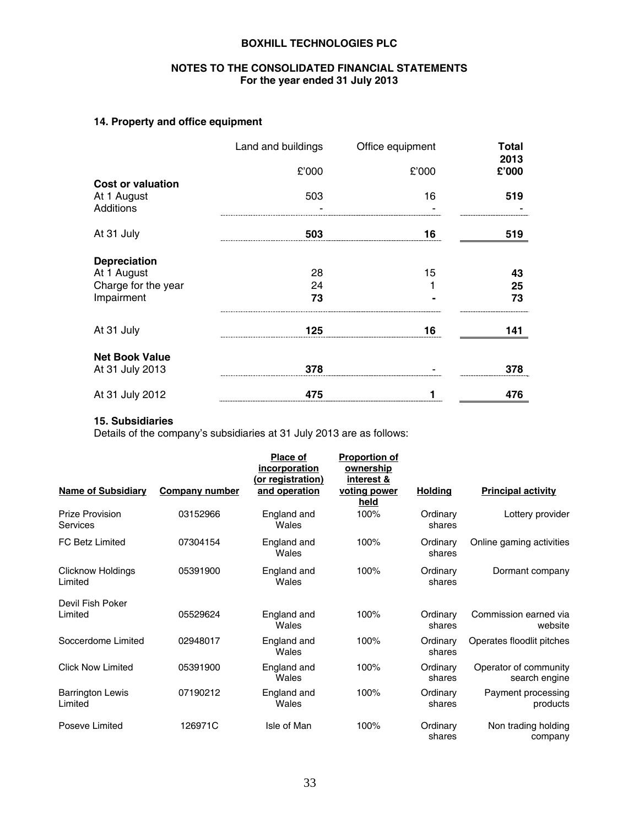# **NOTES TO THE CONSOLIDATED FINANCIAL STATEMENTS For the year ended 31 July 2013**

# **14. Property and office equipment**

|                                                      | Land and buildings | Office equipment | Total         |
|------------------------------------------------------|--------------------|------------------|---------------|
|                                                      | £'000              | £'000            | 2013<br>£'000 |
| <b>Cost or valuation</b><br>At 1 August<br>Additions | 503                | 16               | 519           |
| At 31 July                                           | 503                | 16               | 519           |
| <b>Depreciation</b>                                  |                    |                  |               |
| At 1 August                                          | 28                 | 15               | 43            |
| Charge for the year                                  | 24                 |                  | 25            |
| Impairment                                           | 73                 |                  | 73            |
| At 31 July                                           | 125                | 16               | 141           |
| <b>Net Book Value</b>                                |                    |                  |               |
| At 31 July 2013                                      | 378                |                  | 378           |
| At 31 July 2012                                      | 475                | 1                | 476           |

# **15. Subsidiaries**

Details of the company's subsidiaries at 31 July 2013 are as follows:

|                                     |                | Place of<br>incorporation<br>(or registration) | <b>Proportion of</b><br>ownership<br>interest & |                    |                                        |
|-------------------------------------|----------------|------------------------------------------------|-------------------------------------------------|--------------------|----------------------------------------|
| <b>Name of Subsidiary</b>           | Company number | and operation                                  | voting power<br>held                            | <b>Holding</b>     | <b>Principal activity</b>              |
| <b>Prize Provision</b><br>Services  | 03152966       | England and<br>Wales                           | 100%                                            | Ordinary<br>shares | Lottery provider                       |
| <b>FC Betz Limited</b>              | 07304154       | England and<br>Wales                           | 100%                                            | Ordinary<br>shares | Online gaming activities               |
| <b>Clicknow Holdings</b><br>Limited | 05391900       | England and<br>Wales                           | 100%                                            | Ordinary<br>shares | Dormant company                        |
| Devil Fish Poker<br>Limited         | 05529624       | England and<br>Wales                           | 100%                                            | Ordinary<br>shares | Commission earned via<br>website       |
| Soccerdome Limited                  | 02948017       | England and<br>Wales                           | 100%                                            | Ordinary<br>shares | Operates floodlit pitches              |
| <b>Click Now Limited</b>            | 05391900       | England and<br>Wales                           | 100%                                            | Ordinary<br>shares | Operator of community<br>search engine |
| <b>Barrington Lewis</b><br>Limited  | 07190212       | England and<br>Wales                           | 100%                                            | Ordinary<br>shares | Payment processing<br>products         |
| Poseve Limited                      | 126971C        | Isle of Man                                    | 100%                                            | Ordinary<br>shares | Non trading holding<br>company         |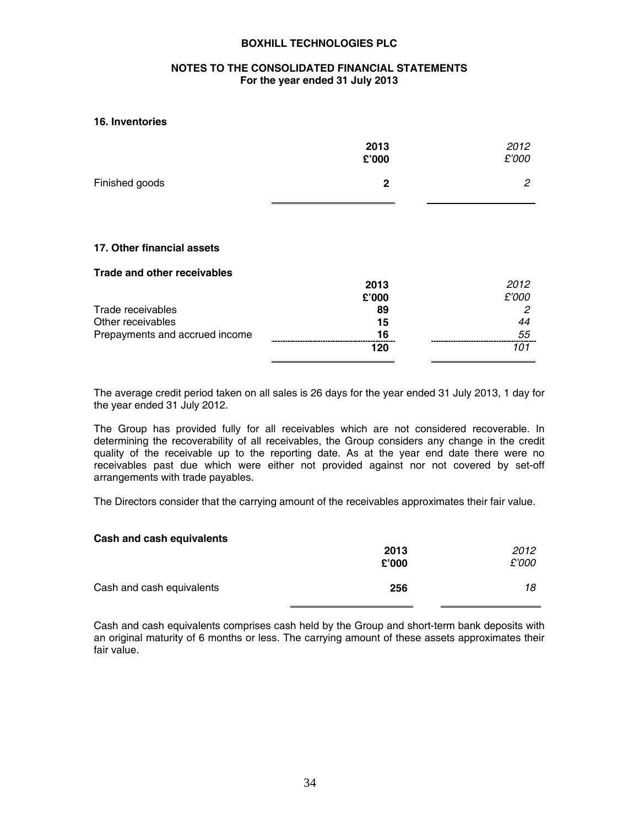### **NOTES TO THE CONSOLIDATED FINANCIAL STATEMENTS For the year ended 31 July 2013**

#### **16. Inventories**

|                                | 2013<br>£'000 | 2012<br>£'000 |
|--------------------------------|---------------|---------------|
| Finished goods                 | $\mathbf 2$   | 2             |
|                                |               |               |
| 17. Other financial assets     |               |               |
| Trade and other receivables    |               |               |
|                                | 2013          | 2012          |
|                                | £'000         | £'000         |
| Trade receivables              | 89            | 2             |
| Other receivables              | 15            | 44            |
| Prepayments and accrued income | 16            | 55            |
|                                | 120           | 101           |
|                                |               |               |

The average credit period taken on all sales is 26 days for the year ended 31 July 2013, 1 day for the year ended 31 July 2012.

The Group has provided fully for all receivables which are not considered recoverable. In determining the recoverability of all receivables, the Group considers any change in the credit quality of the receivable up to the reporting date. As at the year end date there were no receivables past due which were either not provided against nor not covered by set-off arrangements with trade payables.

The Directors consider that the carrying amount of the receivables approximates their fair value.

| Cash and cash equivalents |       |       |
|---------------------------|-------|-------|
|                           | 2013  | 2012  |
|                           | £'000 | £'000 |
| Cash and cash equivalents | 256   | 18    |

Cash and cash equivalents comprises cash held by the Group and short-term bank deposits with an original maturity of 6 months or less. The carrying amount of these assets approximates their fair value.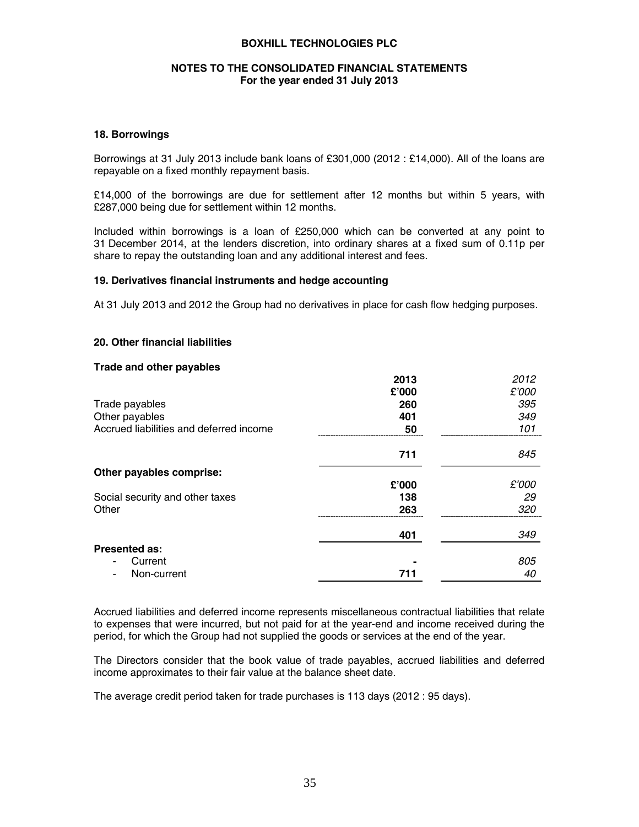### **NOTES TO THE CONSOLIDATED FINANCIAL STATEMENTS For the year ended 31 July 2013**

### **18. Borrowings**

Borrowings at 31 July 2013 include bank loans of £301,000 (2012 : £14,000). All of the loans are repayable on a fixed monthly repayment basis.

£14,000 of the borrowings are due for settlement after 12 months but within 5 years, with £287,000 being due for settlement within 12 months.

Included within borrowings is a loan of £250,000 which can be converted at any point to 31 December 2014, at the lenders discretion, into ordinary shares at a fixed sum of 0.11p per share to repay the outstanding loan and any additional interest and fees.

#### **19. Derivatives financial instruments and hedge accounting**

At 31 July 2013 and 2012 the Group had no derivatives in place for cash flow hedging purposes.

#### **20. Other financial liabilities**

#### **Trade and other payables**

|                                         | 2013  | 2012  |
|-----------------------------------------|-------|-------|
|                                         | £'000 | £'000 |
| Trade payables                          | 260   | 395   |
| Other payables                          | 401   | 349   |
| Accrued liabilities and deferred income | 50    | 101   |
|                                         | 711   | 845   |
| Other payables comprise:                |       |       |
|                                         | £'000 | £'000 |
| Social security and other taxes         | 138   | 29    |
| Other                                   | 263   | 320   |
|                                         | 401   | 349   |
| <b>Presented as:</b>                    |       |       |
| Current<br>۰                            |       | 805   |
| Non-current<br>۰                        | 711   | 40    |

Accrued liabilities and deferred income represents miscellaneous contractual liabilities that relate to expenses that were incurred, but not paid for at the year-end and income received during the period, for which the Group had not supplied the goods or services at the end of the year.

The Directors consider that the book value of trade payables, accrued liabilities and deferred income approximates to their fair value at the balance sheet date.

The average credit period taken for trade purchases is 113 days (2012 : 95 days).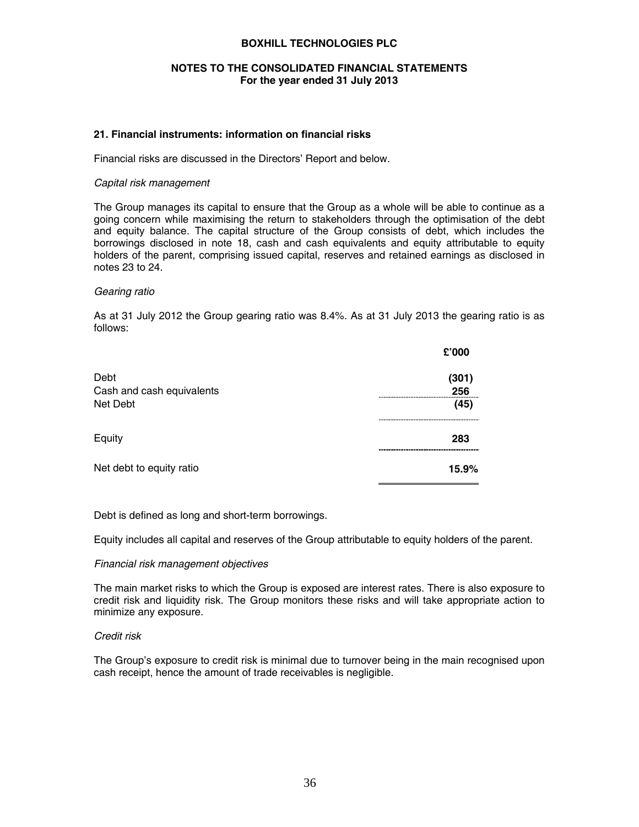### **NOTES TO THE CONSOLIDATED FINANCIAL STATEMENTS For the year ended 31 July 2013**

### **21. Financial instruments: information on financial risks**

Financial risks are discussed in the Directors' Report and below.

#### *Capital risk management*

The Group manages its capital to ensure that the Group as a whole will be able to continue as a going concern while maximising the return to stakeholders through the optimisation of the debt and equity balance. The capital structure of the Group consists of debt, which includes the borrowings disclosed in note 18, cash and cash equivalents and equity attributable to equity holders of the parent, comprising issued capital, reserves and retained earnings as disclosed in notes 23 to 24.

#### *Gearing ratio*

As at 31 July 2012 the Group gearing ratio was 8.4%. As at 31 July 2013 the gearing ratio is as follows:

|                                   | £'000        |
|-----------------------------------|--------------|
| Debt<br>Cash and cash equivalents | (301)<br>256 |
| Net Debt                          | (45)         |
| Equity                            | 283          |
| Net debt to equity ratio          | 15.9%        |

Debt is defined as long and short-term borrowings.

Equity includes all capital and reserves of the Group attributable to equity holders of the parent.

### *Financial risk management objectives*

The main market risks to which the Group is exposed are interest rates. There is also exposure to credit risk and liquidity risk. The Group monitors these risks and will take appropriate action to minimize any exposure.

#### *Credit risk*

The Group's exposure to credit risk is minimal due to turnover being in the main recognised upon cash receipt, hence the amount of trade receivables is negligible.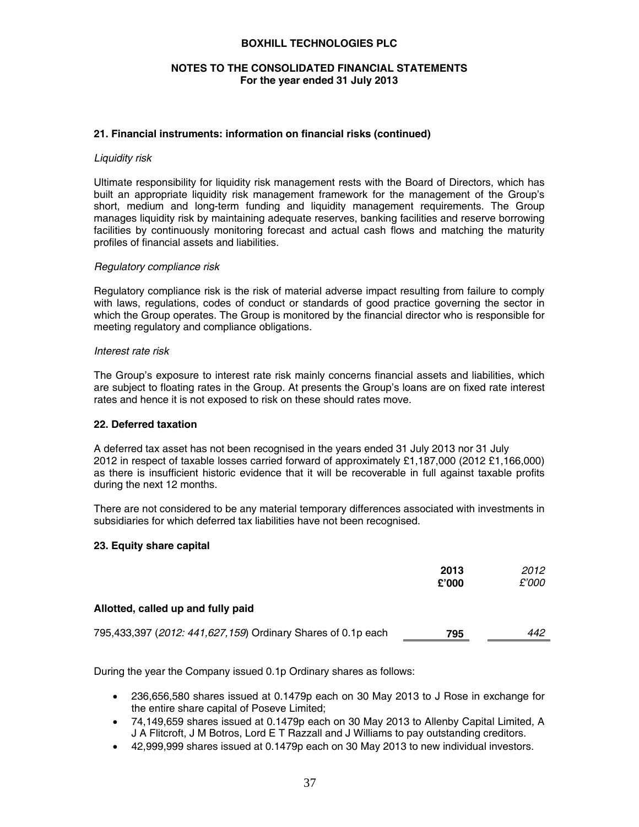### **NOTES TO THE CONSOLIDATED FINANCIAL STATEMENTS For the year ended 31 July 2013**

### **21. Financial instruments: information on financial risks (continued)**

#### *Liquidity risk*

Ultimate responsibility for liquidity risk management rests with the Board of Directors, which has built an appropriate liquidity risk management framework for the management of the Group's short, medium and long-term funding and liquidity management requirements. The Group manages liquidity risk by maintaining adequate reserves, banking facilities and reserve borrowing facilities by continuously monitoring forecast and actual cash flows and matching the maturity profiles of financial assets and liabilities.

#### *Regulatory compliance risk*

Regulatory compliance risk is the risk of material adverse impact resulting from failure to comply with laws, regulations, codes of conduct or standards of good practice governing the sector in which the Group operates. The Group is monitored by the financial director who is responsible for meeting regulatory and compliance obligations.

#### *Interest rate risk*

The Group's exposure to interest rate risk mainly concerns financial assets and liabilities, which are subject to floating rates in the Group. At presents the Group's loans are on fixed rate interest rates and hence it is not exposed to risk on these should rates move.

### **22. Deferred taxation**

A deferred tax asset has not been recognised in the years ended 31 July 2013 nor 31 July 2012 in respect of taxable losses carried forward of approximately £1,187,000 (2012 £1,166,000) as there is insufficient historic evidence that it will be recoverable in full against taxable profits during the next 12 months.

There are not considered to be any material temporary differences associated with investments in subsidiaries for which deferred tax liabilities have not been recognised.

### **23. Equity share capital**

|                                                              | 2013<br>£'000 | 2012<br>£'000 |
|--------------------------------------------------------------|---------------|---------------|
| Allotted, called up and fully paid                           |               |               |
| 795,433,397 (2012: 441,627,159) Ordinary Shares of 0.1p each | 795           | 442           |

During the year the Company issued 0.1p Ordinary shares as follows:

- 236,656,580 shares issued at 0.1479p each on 30 May 2013 to J Rose in exchange for the entire share capital of Poseve Limited;
- 74,149,659 shares issued at 0.1479p each on 30 May 2013 to Allenby Capital Limited, A J A Flitcroft, J M Botros, Lord E T Razzall and J Williams to pay outstanding creditors.
- 42,999,999 shares issued at 0.1479p each on 30 May 2013 to new individual investors.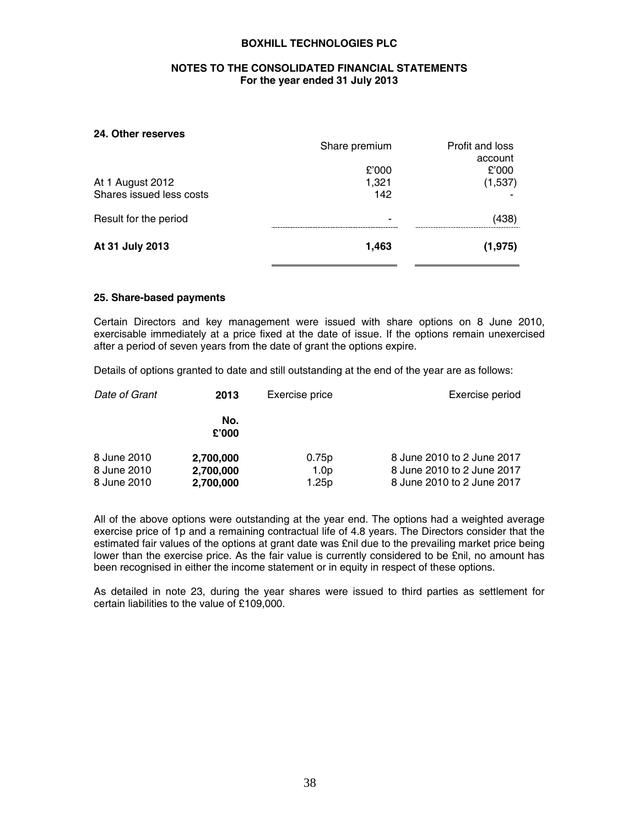### **NOTES TO THE CONSOLIDATED FINANCIAL STATEMENTS For the year ended 31 July 2013**

#### **24. Other reserves**

|                          | Share premium | Profit and loss |
|--------------------------|---------------|-----------------|
|                          |               | account         |
|                          | £'000         | £'000           |
| At 1 August 2012         | 1,321         | (1,537)         |
| Shares issued less costs | 142           |                 |
| Result for the period    | -             | (438)           |
| At 31 July 2013          | 1,463         | (1, 975)        |

#### **25. Share-based payments**

Certain Directors and key management were issued with share options on 8 June 2010, exercisable immediately at a price fixed at the date of issue. If the options remain unexercised after a period of seven years from the date of grant the options expire.

Details of options granted to date and still outstanding at the end of the year are as follows:

| Date of Grant                             | Exercise price<br>2013              |                                                | Exercise period                                                                        |
|-------------------------------------------|-------------------------------------|------------------------------------------------|----------------------------------------------------------------------------------------|
|                                           | No.<br>£'000                        |                                                |                                                                                        |
| 8 June 2010<br>8 June 2010<br>8 June 2010 | 2,700,000<br>2,700,000<br>2,700,000 | 0.75 <sub>p</sub><br>1.0 <sub>p</sub><br>1.25p | 8 June 2010 to 2 June 2017<br>8 June 2010 to 2 June 2017<br>8 June 2010 to 2 June 2017 |

All of the above options were outstanding at the year end. The options had a weighted average exercise price of 1p and a remaining contractual life of 4.8 years. The Directors consider that the estimated fair values of the options at grant date was £nil due to the prevailing market price being lower than the exercise price. As the fair value is currently considered to be £nil, no amount has been recognised in either the income statement or in equity in respect of these options.

As detailed in note 23, during the year shares were issued to third parties as settlement for certain liabilities to the value of £109,000.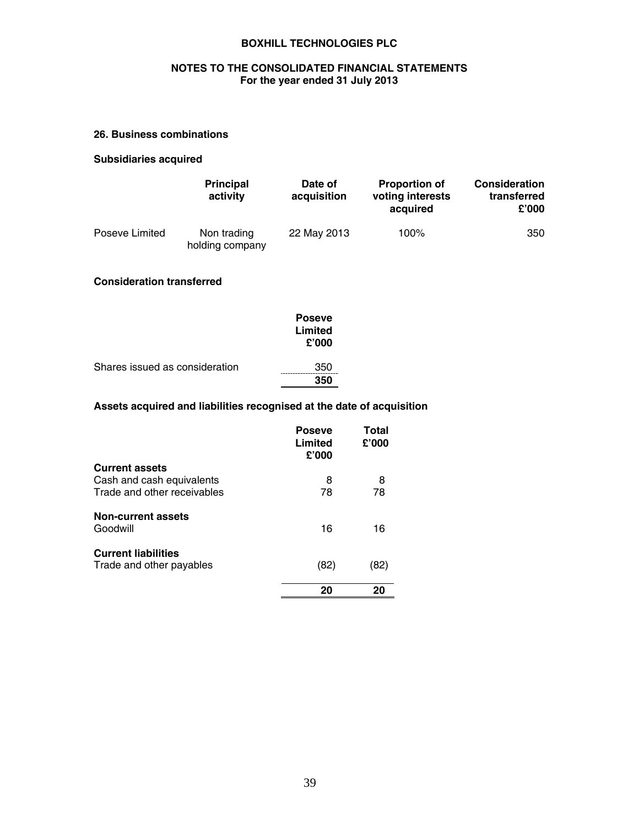## **NOTES TO THE CONSOLIDATED FINANCIAL STATEMENTS For the year ended 31 July 2013**

# **26. Business combinations**

# **Subsidiaries acquired**

|                | <b>Principal</b><br>activity   | Date of<br>acquisition | <b>Proportion of</b><br>voting interests<br>acquired | <b>Consideration</b><br>transferred<br>£'000 |
|----------------|--------------------------------|------------------------|------------------------------------------------------|----------------------------------------------|
| Poseve Limited | Non trading<br>holding company | 22 May 2013            | 100%                                                 | 350                                          |

# **Consideration transferred**

|                                | <b>Poseve</b><br>Limited<br>£'000 |
|--------------------------------|-----------------------------------|
| Shares issued as consideration | 350<br>350                        |

### **Assets acquired and liabilities recognised at the date of acquisition**

|                                | <b>Poseve</b><br>Limited<br>£'000 | Total<br>£'000 |
|--------------------------------|-----------------------------------|----------------|
| <b>Current assets</b>          |                                   |                |
| Cash and cash equivalents      | 8                                 | 8              |
| Trade and other receivables    | 78                                | 78             |
| Non-current assets<br>Goodwill | 16                                | 16             |
| <b>Current liabilities</b>     |                                   |                |
| Trade and other payables       | (82)                              | (82)           |
|                                | 20                                | 20             |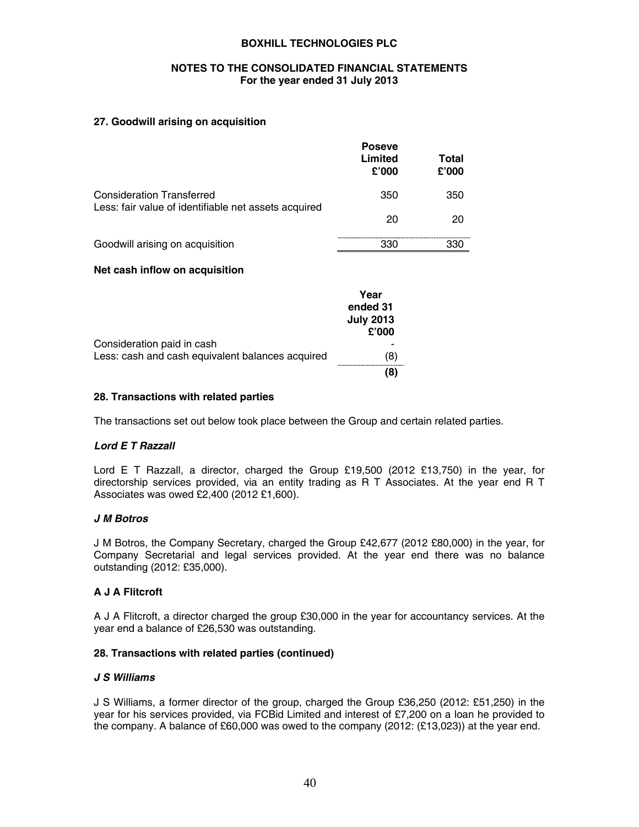### **NOTES TO THE CONSOLIDATED FINANCIAL STATEMENTS For the year ended 31 July 2013**

### **27. Goodwill arising on acquisition**

|                                                      | <b>Poseve</b><br>Limited<br>£'000 | Total<br>£'000 |
|------------------------------------------------------|-----------------------------------|----------------|
| <b>Consideration Transferred</b>                     | 350                               | 350            |
| Less: fair value of identifiable net assets acquired | 20                                | 20             |
| Goodwill arising on acquisition                      | 330                               | 330            |

### **Net cash inflow on acquisition**

|                                                  | Year<br>ended 31<br><b>July 2013</b><br>£'000 |
|--------------------------------------------------|-----------------------------------------------|
| Consideration paid in cash                       |                                               |
| Less: cash and cash equivalent balances acquired | (8)                                           |
|                                                  |                                               |

### **28. Transactions with related parties**

The transactions set out below took place between the Group and certain related parties.

# *Lord E T Razzall*

Lord E T Razzall, a director, charged the Group £19,500 (2012 £13,750) in the year, for directorship services provided, via an entity trading as R T Associates. At the year end R T Associates was owed £2,400 (2012 £1,600).

### *J M Botros*

J M Botros, the Company Secretary, charged the Group £42,677 (2012 £80,000) in the year, for Company Secretarial and legal services provided. At the year end there was no balance outstanding (2012: £35,000).

### **A J A Flitcroft**

A J A Flitcroft, a director charged the group £30,000 in the year for accountancy services. At the year end a balance of £26,530 was outstanding.

### **28. Transactions with related parties (continued)**

### *J S Williams*

J S Williams, a former director of the group, charged the Group £36,250 (2012: £51,250) in the year for his services provided, via FCBid Limited and interest of £7,200 on a loan he provided to the company. A balance of £60,000 was owed to the company (2012: (£13,023)) at the year end.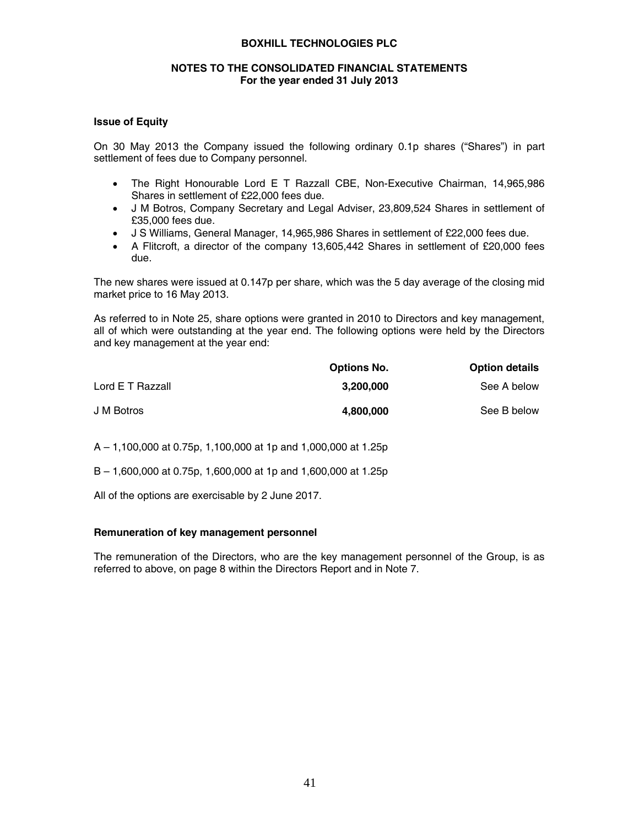### **NOTES TO THE CONSOLIDATED FINANCIAL STATEMENTS For the year ended 31 July 2013**

### **Issue of Equity**

On 30 May 2013 the Company issued the following ordinary 0.1p shares ("Shares") in part settlement of fees due to Company personnel.

- The Right Honourable Lord E T Razzall CBE, Non-Executive Chairman, 14,965,986 Shares in settlement of £22,000 fees due.
- J M Botros, Company Secretary and Legal Adviser, 23,809,524 Shares in settlement of £35,000 fees due.
- J S Williams, General Manager, 14,965,986 Shares in settlement of £22,000 fees due.
- A Flitcroft, a director of the company 13,605,442 Shares in settlement of £20,000 fees due.

The new shares were issued at 0.147p per share, which was the 5 day average of the closing mid market price to 16 May 2013.

As referred to in Note 25, share options were granted in 2010 to Directors and key management, all of which were outstanding at the year end. The following options were held by the Directors and key management at the year end:

|                  | <b>Options No.</b> | <b>Option details</b> |
|------------------|--------------------|-----------------------|
| Lord E T Razzall | 3.200.000          | See A below           |
| J M Botros       | 4.800.000          | See B below           |

A – 1,100,000 at 0.75p, 1,100,000 at 1p and 1,000,000 at 1.25p

B – 1,600,000 at 0.75p, 1,600,000 at 1p and 1,600,000 at 1.25p

All of the options are exercisable by 2 June 2017.

### **Remuneration of key management personnel**

The remuneration of the Directors, who are the key management personnel of the Group, is as referred to above, on page 8 within the Directors Report and in Note 7.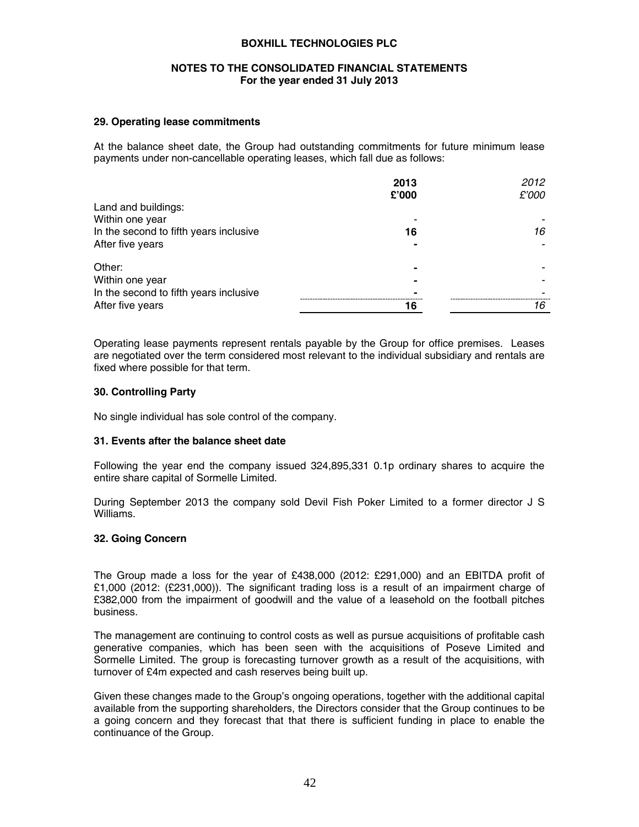### **NOTES TO THE CONSOLIDATED FINANCIAL STATEMENTS For the year ended 31 July 2013**

### **29. Operating lease commitments**

At the balance sheet date, the Group had outstanding commitments for future minimum lease payments under non-cancellable operating leases, which fall due as follows:

|                                        | 2013                     | 2012  |
|----------------------------------------|--------------------------|-------|
|                                        | £'000                    | £'000 |
| Land and buildings:                    |                          |       |
| Within one year                        |                          |       |
| In the second to fifth years inclusive | 16                       | 16    |
| After five years                       |                          |       |
| Other:                                 | $\overline{\phantom{0}}$ |       |
| Within one year                        |                          |       |
| In the second to fifth years inclusive |                          |       |
| After five years                       | 16                       | 16    |
|                                        |                          |       |

Operating lease payments represent rentals payable by the Group for office premises. Leases are negotiated over the term considered most relevant to the individual subsidiary and rentals are fixed where possible for that term.

#### **30. Controlling Party**

No single individual has sole control of the company.

### **31. Events after the balance sheet date**

Following the year end the company issued 324,895,331 0.1p ordinary shares to acquire the entire share capital of Sormelle Limited.

During September 2013 the company sold Devil Fish Poker Limited to a former director J S Williams.

#### **32. Going Concern**

The Group made a loss for the year of £438,000 (2012: £291,000) and an EBITDA profit of £1,000 (2012: (£231,000)). The significant trading loss is a result of an impairment charge of £382,000 from the impairment of goodwill and the value of a leasehold on the football pitches business.

The management are continuing to control costs as well as pursue acquisitions of profitable cash generative companies, which has been seen with the acquisitions of Poseve Limited and Sormelle Limited. The group is forecasting turnover growth as a result of the acquisitions, with turnover of £4m expected and cash reserves being built up.

Given these changes made to the Group's ongoing operations, together with the additional capital available from the supporting shareholders, the Directors consider that the Group continues to be a going concern and they forecast that that there is sufficient funding in place to enable the continuance of the Group.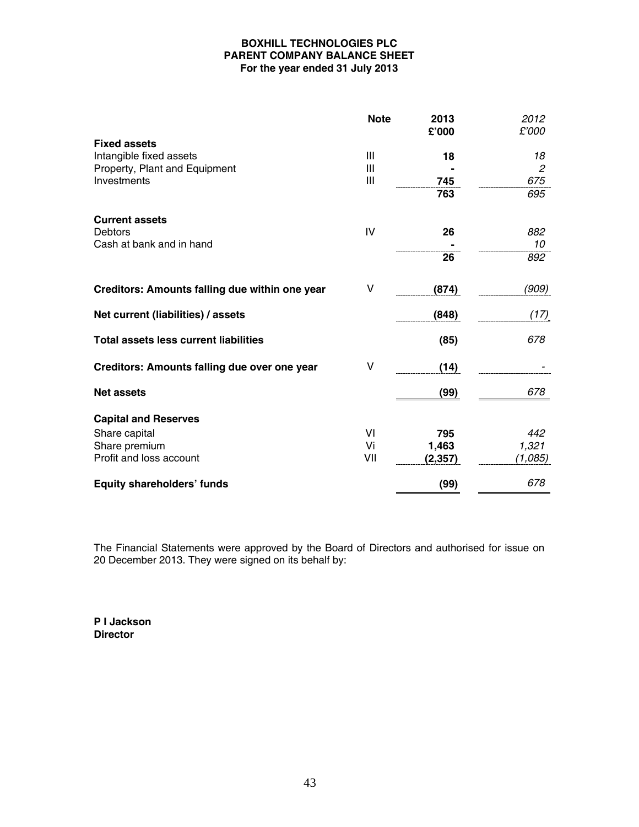# **BOXHILL TECHNOLOGIES PLC PARENT COMPANY BALANCE SHEET For the year ended 31 July 2013**

|                                                | <b>Note</b> | 2013<br>£'000 | 2012<br>£'000  |
|------------------------------------------------|-------------|---------------|----------------|
| <b>Fixed assets</b>                            |             |               |                |
| Intangible fixed assets                        | Ш           | 18            | 18             |
| Property, Plant and Equipment                  | Ш           |               | $\mathfrak{p}$ |
| Investments                                    | Ш           | 745           | 675            |
|                                                |             | 763           | 695            |
| <b>Current assets</b>                          |             |               |                |
| <b>Debtors</b>                                 | IV          | 26            | 882            |
| Cash at bank and in hand                       |             |               | 10             |
|                                                |             | 26            | 892            |
| Creditors: Amounts falling due within one year | v           | (874)         | (909)          |
| Net current (liabilities) / assets             |             | (848)         | (17)           |
| <b>Total assets less current liabilities</b>   |             | (85)          | 678            |
| Creditors: Amounts falling due over one year   | v           | (14)          |                |
| <b>Net assets</b>                              |             | (99)          | 678            |
| <b>Capital and Reserves</b>                    |             |               |                |
| Share capital                                  | VI          | 795           | 442            |
| Share premium                                  | Vi          | 1,463         | 1,321          |
| Profit and loss account                        | VII         | (2, 357)      | (1,085)        |
| Equity shareholders' funds                     |             | (99)          | 678            |

The Financial Statements were approved by the Board of Directors and authorised for issue on 20 December 2013. They were signed on its behalf by:

**P I Jackson Director**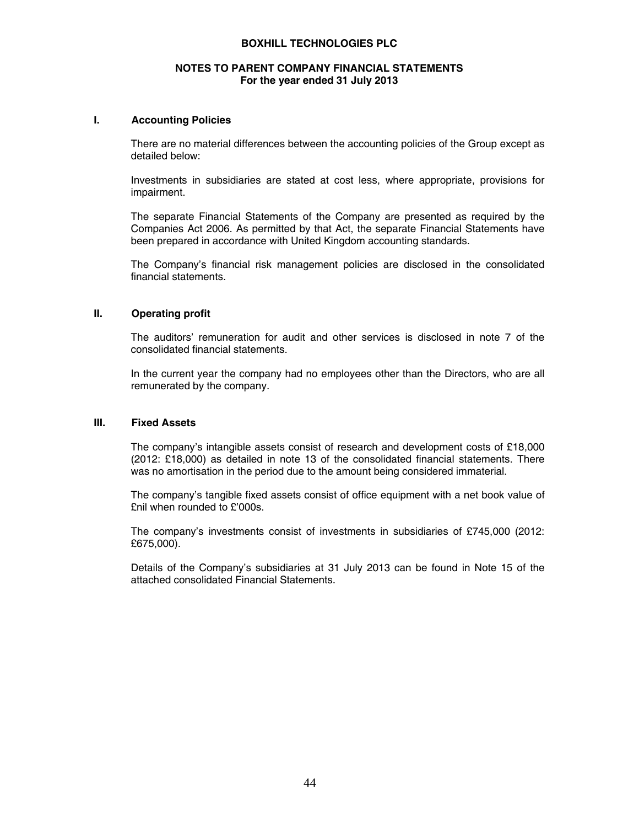### **NOTES TO PARENT COMPANY FINANCIAL STATEMENTS For the year ended 31 July 2013**

#### **I. Accounting Policies**

There are no material differences between the accounting policies of the Group except as detailed below:

Investments in subsidiaries are stated at cost less, where appropriate, provisions for impairment.

The separate Financial Statements of the Company are presented as required by the Companies Act 2006. As permitted by that Act, the separate Financial Statements have been prepared in accordance with United Kingdom accounting standards.

The Company's financial risk management policies are disclosed in the consolidated financial statements.

### **II. Operating profit**

The auditors' remuneration for audit and other services is disclosed in note 7 of the consolidated financial statements.

In the current year the company had no employees other than the Directors, who are all remunerated by the company.

#### **III. Fixed Assets**

The company's intangible assets consist of research and development costs of £18,000 (2012: £18,000) as detailed in note 13 of the consolidated financial statements. There was no amortisation in the period due to the amount being considered immaterial.

The company's tangible fixed assets consist of office equipment with a net book value of £nil when rounded to £'000s.

The company's investments consist of investments in subsidiaries of £745,000 (2012: £675,000).

Details of the Company's subsidiaries at 31 July 2013 can be found in Note 15 of the attached consolidated Financial Statements.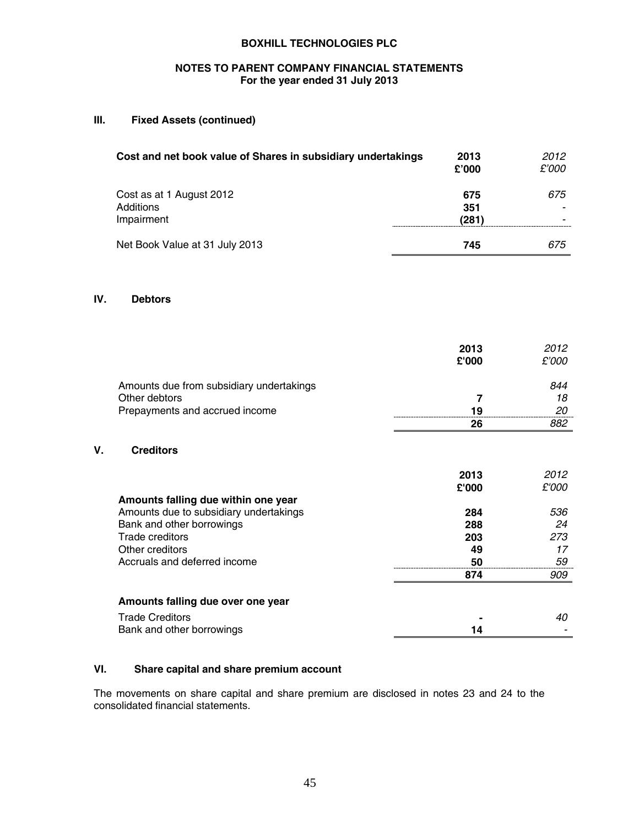# **NOTES TO PARENT COMPANY FINANCIAL STATEMENTS For the year ended 31 July 2013**

### **III. Fixed Assets (continued)**

| Cost and net book value of Shares in subsidiary undertakings | 2013<br>£'000       | 2012<br>£'000 |
|--------------------------------------------------------------|---------------------|---------------|
| Cost as at 1 August 2012<br>Additions<br>Impairment          | 675<br>351<br>(281) | 675           |
| Net Book Value at 31 July 2013                               | 745                 | 675           |

### **IV. Debtors**

**V**.

|                                          | 2013<br>£'000 | 2012<br>£'000 |
|------------------------------------------|---------------|---------------|
| Amounts due from subsidiary undertakings |               | 844           |
| Other debtors                            |               | 18            |
| Prepayments and accrued income           | 19            | 20            |
|                                          | 26            | 882           |
| <b>Creditors</b>                         |               |               |

|                                        | 2013  | 2012  |
|----------------------------------------|-------|-------|
|                                        | £'000 | £'000 |
| Amounts falling due within one year    |       |       |
| Amounts due to subsidiary undertakings | 284   | 536   |
| Bank and other borrowings              | 288   | 24    |
| Trade creditors                        | 203   | 273   |
| Other creditors                        | 49    | 17    |
| Accruals and deferred income           | 50    | 59    |
|                                        | 874   | 909   |
| Amounts falling due over one year      |       |       |
| <b>Trade Creditors</b>                 |       | 40    |
| Bank and other borrowings              | 14    |       |

# **VI. Share capital and share premium account**

The movements on share capital and share premium are disclosed in notes 23 and 24 to the consolidated financial statements.